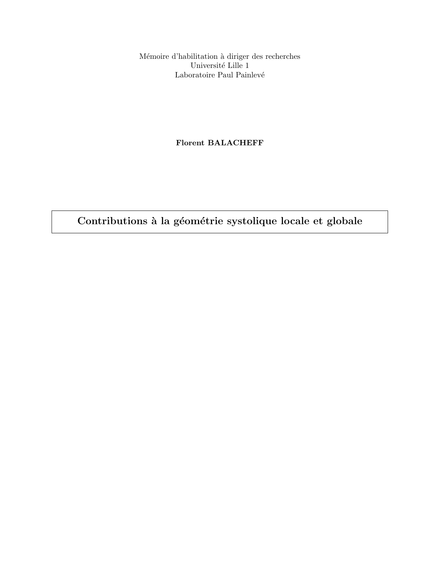Mémoire d'habilitation à diriger des recherches Université Lille $1$ Laboratoire Paul Painlevé

# Florent BALACHEFF

Contributions à la géométrie systolique locale et globale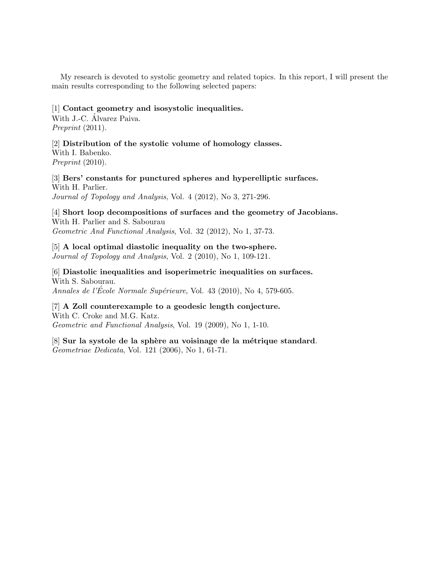My research is devoted to systolic geometry and related topics. In this report, I will present the main results corresponding to the following selected papers:

# [1] Contact geometry and isosystolic inequalities.

With J.-C. Álvarez Paiva. Preprint  $(2011)$ .

[2] Distribution of the systolic volume of homology classes.

With I. Babenko. Preprint (2010).

[3] Bers' constants for punctured spheres and hyperelliptic surfaces. With H. Parlier. Journal of Topology and Analysis, Vol. 4 (2012), No 3, 271-296.

[4] Short loop decompositions of surfaces and the geometry of Jacobians. With H. Parlier and S. Sabourau Geometric And Functional Analysis, Vol. 32 (2012), No 1, 37-73.

[5] A local optimal diastolic inequality on the two-sphere. Journal of Topology and Analysis, Vol. 2 (2010), No 1, 109-121.

[6] Diastolic inequalities and isoperimetric inequalities on surfaces. With S. Sabourau. Annales de l'École Normale Supérieure, Vol. 43 (2010), No 4, 579-605.

[7] A Zoll counterexample to a geodesic length conjecture. With C. Croke and M.G. Katz. Geometric and Functional Analysis, Vol. 19 (2009), No 1, 1-10.

[8] Sur la systole de la sphère au voisinage de la métrique standard. Geometriae Dedicata, Vol. 121 (2006), No 1, 61-71.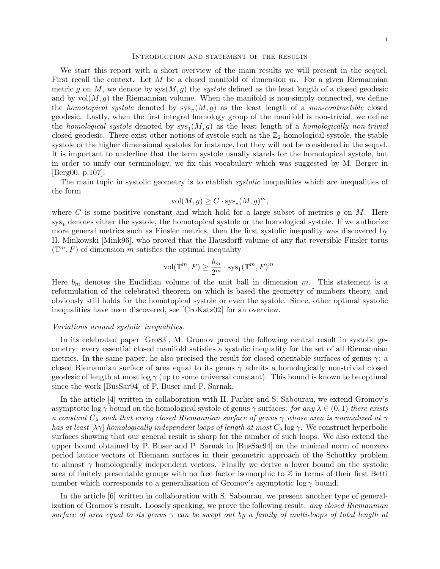#### Introduction and statement of the results

We start this report with a short overview of the main results we will present in the sequel. First recall the context. Let M be a closed manifold of dimension  $m$ . For a given Riemannian metric g on M, we denote by  $sys(M, g)$  the *systole* defined as the least length of a closed geodesic and by  $vol(M, g)$  the Riemannian volume. When the manifold is non-simply connected, we define the *homotopical systole* denoted by  $sys_{\pi}(M, g)$  as the least length of a *non-contractible* closed geodesic. Lastly, when the first integral homology group of the manifold is non-trivial, we define the *homological systole* denoted by  $sys_1(M, g)$  as the least length of a *homologically non-trivial* closed geodesic. There exist other notions of systole such as the  $\mathbb{Z}_2$ -homological systole, the stable systole or the higher dimensional systoles for instance, but they will not be considered in the sequel. It is important to underline that the term systole usually stands for the homotopical systole, but in order to unify our terminology, we fix this vocabulary which was suggested by M. Berger in [Berg00, p.107].

The main topic in systolic geometry is to etablish *systolic* inequalities which are inequalities of the form

$$
\text{vol}(M, g) \ge C \cdot \text{sys}_*(M, g)^m,
$$

where C is some positive constant and which hold for a large subset of metrics  $g$  on M. Here sys<sub>∗</sub> denotes either the systole, the homotopical systole or the homological systole. If we authorize more general metrics such as Finsler metrics, then the first systolic inequality was discovered by H. Minkowski [Mink96], who proved that the Hausdorff volume of any flat reversible Finsler torus  $(\mathbb{T}^m, F)$  of dimension m satisfies the optimal inequality

$$
\text{vol}(\mathbb{T}^m, F) \ge \frac{b_m}{2^m} \cdot \text{sys}_1(\mathbb{T}^m, F)^m.
$$

Here  $b_m$  denotes the Euclidian volume of the unit ball in dimension m. This statement is a reformulation of the celebrated theorem on which is based the geometry of numbers theory, and obviously still holds for the homotopical systole or even the systole. Since, other optimal systolic inequalities have been discovered, see [CroKatz02] for an overview.

### Variations around systolic inequalities.

In its celebrated paper [Gro83], M. Gromov proved the following central result in systolic geometry: every essential closed manifold satisfies a systolic inequality for the set of all Riemannian metrics. In the same paper, he also precised the result for closed orientable surfaces of genus  $\gamma$ : a closed Riemannian surface of area equal to its genus  $\gamma$  admits a homologically non-trivial closed geodesic of length at most log  $\gamma$  (up to some universal constant). This bound is known to be optimal since the work [BusSar94] of P. Buser and P. Sarnak.

In the article [4] written in collaboration with H. Parlier and S. Sabourau, we extend Gromov's asymptotic log  $\gamma$  bound on the homological systole of genus  $\gamma$  surfaces: for any  $\lambda \in (0,1)$  there exists a constant  $C_{\lambda}$  such that every closed Riemannian surface of genus  $\gamma$  whose area is normalized at  $\gamma$ has at least  $[\lambda \gamma]$  homologically independent loops of length at most  $C_{\lambda}$  log  $\gamma$ . We construct hyperbolic surfaces showing that our general result is sharp for the number of such loops. We also extend the upper bound obtained by P. Buser and P. Sarnak in [BusSar94] on the minimal norm of nonzero period lattice vectors of Riemann surfaces in their geometric approach of the Schottky problem to almost  $\gamma$  homologically independent vectors. Finally we derive a lower bound on the systolic area of finitely presentable groups with no free factor isomorphic to  $\mathbb Z$  in terms of their first Betti number which corresponds to a generalization of Gromov's asymptotic log  $\gamma$  bound.

In the article [6] written in collaboration with S. Sabourau, we present another type of generalization of Gromov's result. Loosely speaking, we prove the following result: any closed Riemannian surface of area equal to its genus  $\gamma$  can be swept out by a family of multi-loops of total length at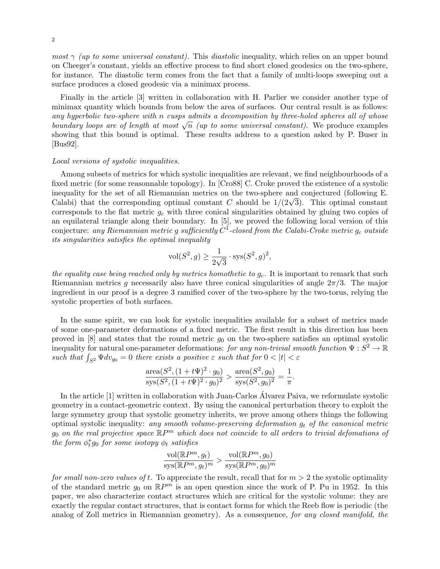most  $\gamma$  (up to some universal constant). This diastolic inequality, which relies on an upper bound on Cheeger's constant, yields an effective process to find short closed geodesics on the two-sphere, for instance. The diastolic term comes from the fact that a family of multi-loops sweeping out a surface produces a closed geodesic via a minimax process.

Finally in the article [3] written in collaboration with H. Parlier we consider another type of minimax quantity which bounds from below the area of surfaces. Our central result is as follows: any hyperbolic two-sphere with n cusps admits a decomposition by three-holed spheres all of whose  $b$ oundary loops are of length at most  $\sqrt{n}$  (up to some universal constant). We produce examples showing that this bound is optimal. These results address to a question asked by P. Buser in [Bus92].

# Local versions of systolic inequalities.

Among subsets of metrics for which systolic inequalities are relevant, we find neighbourhoods of a fixed metric (for some reasonnable topology). In [Cro88] C. Croke proved the existence of a systolic inequality for the set of all Riemannian metrics on the two-sphere and conjectured (following E. mequality for the set of all Kiemannian metrics on the two-sphere and conjectured (following E.<br>Calabi) that the corresponding optimal constant C should be  $1/(2\sqrt{3})$ . This optimal constant corresponds to the flat metric  $g_c$  with three conical singularities obtained by gluing two copies of an equilateral triangle along their boundary. In [5], we proved the following local version of this conjecture: any Riemannian metric  $g$  sufficiently  $C^1$ -closed from the Calabi-Croke metric  $g_c$  outside its singularities satisfies the optimal inequality

$$
\text{vol}(S^2, g) \ge \frac{1}{2\sqrt{3}} \cdot \text{sys}(S^2, g)^2,
$$

the equality case being reached only by metrics homothetic to  $g_c$ . It is important to remark that such Riemannian metrics g necessarily also have three conical singularities of angle  $2\pi/3$ . The major ingredient in our proof is a degree 3 ramified cover of the two-sphere by the two-torus, relying the systolic properties of both surfaces.

In the same spirit, we can look for systolic inequalities available for a subset of metrics made of some one-parameter deformations of a fixed metric. The first result in this direction has been proved in  $[8]$  and states that the round metric  $g_0$  on the two-sphere satisfies an optimal systolic inequality for natural one-parameter deformations: for any non-trivial smooth function  $\Psi: S^2 \to \mathbb{R}$ such that  $\int_{S^2} \Psi dv_{g_0} = 0$  there exists a positive  $\varepsilon$  such that for  $0 < |t| < \varepsilon$ 

$$
\frac{\text{area}(S^2, (1+t\Psi)^2 \cdot g_0)}{\text{sys}(S^2, (1+t\Psi)^2 \cdot g_0)^2} > \frac{\text{area}(S^2, g_0)}{\text{sys}(S^2, g_0)^2} = \frac{1}{\pi}.
$$

In the article [1] written in collaboration with Juan-Carlos Alvarez Paiva, we reformulate systolic geometry in a contact-geometric context. By using the canonical perturbation theory to exploit the large symmetry group that systolic geometry inherits, we prove among others things the following optimal systolic inequality: any smooth volume-preserving deformation  $q_t$  of the canonical metric  $g_0$  on the real projective space  $\mathbb{R}P^m$  which does not coincide to all orders to trivial defomations of the form  $\phi_t^*g_0$  for some isotopy  $\phi_t$  satisfies

$$
\frac{\text{vol}(\mathbb{R}P^m, g_t)}{\text{sys}(\mathbb{R}P^m, g_t)^m} > \frac{\text{vol}(\mathbb{R}P^m, g_0)}{\text{sys}(\mathbb{R}P^m, g_0)^m}
$$

for small non-zero values of t. To appreciate the result, recall that for  $m > 2$  the systolic optimality of the standard metric  $g_0$  on  $\mathbb{R}P^m$  is an open question since the work of P. Pu in 1952. In this paper, we also characterize contact structures which are critical for the systolic volume: they are exactly the regular contact structures, that is contact forms for which the Reeb flow is periodic (the analog of Zoll metrics in Riemannian geometry). As a consequence, for any closed manifold, the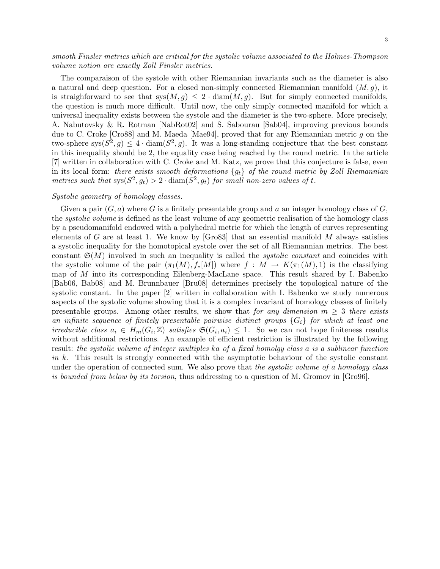smooth Finsler metrics which are critical for the systolic volume associated to the Holmes-Thompson volume notion are exactly Zoll Finsler metrics.

The comparaison of the systole with other Riemannian invariants such as the diameter is also a natural and deep question. For a closed non-simply connected Riemannian manifold  $(M, g)$ , it is straighforward to see that  $sys(M, q) \leq 2 \cdot diam(M, q)$ . But for simply connected manifolds, the question is much more difficult. Until now, the only simply connected manifold for which a universal inequality exists between the systole and the diameter is the two-sphere. More precisely, A. Nabutovsky & R. Rotman [NabRot02] and S. Sabourau [Sab04], improving previous bounds due to C. Croke [Cro88] and M. Maeda [Mae94], proved that for any Riemannian metric g on the two-sphere sys $(S^2, g) \leq 4 \cdot \text{diam}(S^2, g)$ . It was a long-standing conjecture that the best constant in this inequality should be 2, the equality case being reached by the round metric. In the article [7] written in collaboration with C. Croke and M. Katz, we prove that this conjecture is false, even in its local form: there exists smooth deformations  $\{g_t\}$  of the round metric by Zoll Riemannian metrics such that  $sys(S^2, g_t) > 2 \cdot diam(S^2, g_t)$  for small non-zero values of t.

## Systolic geometry of homology classes.

Given a pair  $(G, a)$  where G is a finitely presentable group and a an integer homology class of G, the systolic volume is defined as the least volume of any geometric realisation of the homology class by a pseudomanifold endowed with a polyhedral metric for which the length of curves representing elements of G are at least 1. We know by [Gro83] that an essential manifold  $M$  always satisfies a systolic inequality for the homotopical systole over the set of all Riemannian metrics. The best constant  $\mathfrak{S}(M)$  involved in such an inequality is called the *systolic constant* and coincides with the systolic volume of the pair  $(\pi_1(M), f_*(M))$  where  $f : M \to K(\pi_1(M), 1)$  is the classifying map of M into its corresponding Eilenberg-MacLane space. This result shared by I. Babenko [Bab06, Bab08] and M. Brunnbauer [Bru08] determines precisely the topological nature of the systolic constant. In the paper [2] written in collaboration with I. Babenko we study numerous aspects of the systolic volume showing that it is a complex invariant of homology classes of finitely presentable groups. Among other results, we show that for any dimension  $m \geq 3$  there exists an infinite sequence of finitely presentable pairwise distinct groups  $\{G_i\}$  for which at least one irreducible class  $a_i \in H_m(G_i, \mathbb{Z})$  satisfies  $\mathfrak{S}(G_i, a_i) \leq 1$ . So we can not hope finiteness results without additional restrictions. An example of efficient restriction is illustrated by the following result: the systolic volume of integer multiples ka of a fixed homolgy class a is a sublinear function in k. This result is strongly connected with the asymptotic behaviour of the systolic constant under the operation of connected sum. We also prove that the systolic volume of a homology class is bounded from below by its torsion, thus addressing to a question of M. Gromov in [Gro96].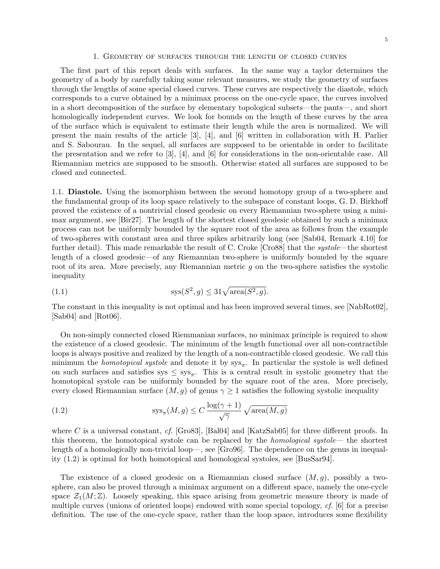### 1. Geometry of surfaces through the length of closed curves

The first part of this report deals with surfaces. In the same way a taylor determines the geometry of a body by carefully taking some relevant measures, we study the geometry of surfaces through the lengths of some special closed curves. These curves are respectively the diastole, which corresponds to a curve obtained by a minimax process on the one-cycle space, the curves involved in a short decomposition of the surface by elementary topological subsets—the pants—, and short homologically independent curves. We look for bounds on the length of these curves by the area of the surface which is equivalent to estimate their length while the area is normalized. We will present the main results of the article [3], [4], and [6] written in collaboration with H. Parlier and S. Sabourau. In the sequel, all surfaces are supposed to be orientable in order to facilitate the presentation and we refer to [3], [4], and [6] for considerations in the non-orientable case. All Riemannian metrics are supposed to be smooth. Otherwise stated all surfaces are supposed to be closed and connected.

1.1. Diastole. Using the isomorphism between the second homotopy group of a two-sphere and the fundamental group of its loop space relatively to the subspace of constant loops, G. D. Birkhoff proved the existence of a nontrivial closed geodesic on every Riemannian two-sphere using a minimax argument, see [Bir27]. The length of the shortest closed geodesic obtained by such a minimax process can not be uniformly bounded by the square root of the area as follows from the example of two-spheres with constant area and three spikes arbitrarily long (see [Sab04, Remark 4.10] for further detail). This made remarkable the result of C. Croke [Cro88] that the *systole*—the shortest length of a closed geodesic—of any Riemannian two-sphere is uniformly bounded by the square root of its area. More precisely, any Riemannian metric g on the two-sphere satisfies the systolic inequality

$$
(1.1)\qquad \qquad \operatorname{sys}(S^2, g) \le 31\sqrt{\operatorname{area}(S^2, g)}.
$$

The constant in this inequality is not optimal and has been improved several times, see [NabRot02], [Sab04] and [Rot06].

On non-simply connected closed Riemmanian surfaces, no minimax principle is required to show the existence of a closed geodesic. The minimum of the length functional over all non-contractible loops is always positive and realized by the length of a non-contractible closed geodesic. We call this minimum the *homotopical systole* and denote it by  $sys_{\pi}$ . In particular the systole is well defined on such surfaces and satisfies  $sys \leq sys_{\pi}$ . This is a central result in systolic geometry that the homotopical systole can be uniformly bounded by the square root of the area. More precisely, every closed Riemannian surface  $(M, g)$  of genus  $\gamma \geq 1$  satisfies the following systolic inequality

(1.2) 
$$
sys_{\pi}(M, g) \le C \frac{\log(\gamma + 1)}{\sqrt{\gamma}} \sqrt{\text{area}(M, g)}
$$

where C is a universal constant, cf. [Gro83], [Bal04] and [KatzSab05] for three different proofs. In this theorem, the homotopical systole can be replaced by the homological systole— the shortest length of a homologically non-trivial loop—, see [Gro96]. The dependence on the genus in inequality (1.2) is optimal for both homotopical and homological systoles, see [BusSar94].

The existence of a closed geodesic on a Riemannian closed surface  $(M, g)$ , possibly a twosphere, can also be proved through a minimax argument on a different space, namely the one-cycle space  $\mathcal{Z}_1(M;\mathbb{Z})$ . Loosely speaking, this space arising from geometric measure theory is made of multiple curves (unions of oriented loops) endowed with some special topology, cf. [6] for a precise definition. The use of the one-cycle space, rather than the loop space, introduces some flexibility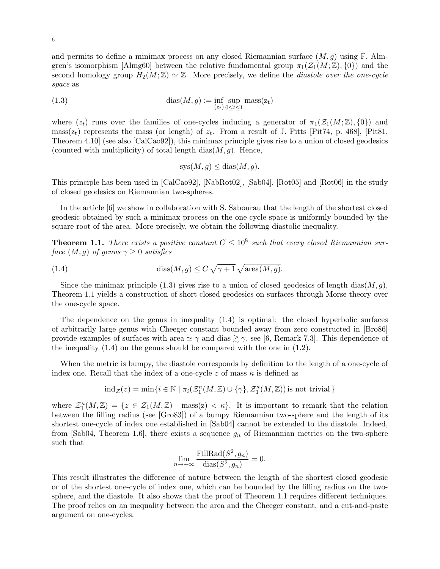and permits to define a minimax process on any closed Riemannian surface  $(M, q)$  using F. Almgren's isomorphism [Almg60] between the relative fundamental group  $\pi_1(\mathcal{Z}_1(M;\mathbb{Z}), \{0\})$  and the second homology group  $H_2(M; \mathbb{Z}) \simeq \mathbb{Z}$ . More precisely, we define the *diastole over the one-cycle* space as

(1.3) 
$$
\operatorname{dias}(M, g) := \inf_{(z_t)} \sup_{0 \le t \le 1} \operatorname{mass}(z_t)
$$

where  $(z_t)$  runs over the families of one-cycles inducing a generator of  $\pi_1(\mathcal{Z}_1(M;\mathbb{Z}),\{0\})$  and mass( $z_t$ ) represents the mass (or length) of  $z_t$ . From a result of J. Pitts [Pit74, p. 468], [Pit81, Theorem 4.10] (see also [CalCao92]), this minimax principle gives rise to a union of closed geodesics (counted with multiplicity) of total length dias $(M, g)$ . Hence,

$$
sys(M, g) \leq diag(M, g).
$$

This principle has been used in [CalCao92], [NabRot02], [Sab04], [Rot05] and [Rot06] in the study of closed geodesics on Riemannian two-spheres.

In the article [6] we show in collaboration with S. Sabourau that the length of the shortest closed geodesic obtained by such a minimax process on the one-cycle space is uniformly bounded by the square root of the area. More precisely, we obtain the following diastolic inequality.

**Theorem 1.1.** There exists a positive constant  $C \leq 10^8$  such that every closed Riemannian surface  $(M, g)$  of genus  $\gamma \geq 0$  satisfies

(1.4) 
$$
\operatorname{dias}(M,g) \le C\sqrt{\gamma+1}\sqrt{\operatorname{area}(M,g)}.
$$

Since the minimax principle (1.3) gives rise to a union of closed geodesics of length dias( $M, q$ ), Theorem 1.1 yields a construction of short closed geodesics on surfaces through Morse theory over the one-cycle space.

The dependence on the genus in inequality (1.4) is optimal: the closed hyperbolic surfaces of arbitrarily large genus with Cheeger constant bounded away from zero constructed in [Bro86] provide examples of surfaces with area  $\simeq \gamma$  and dias  $\gtrsim \gamma$ , see [6, Remark 7.3]. This dependence of the inequality (1.4) on the genus should be compared with the one in (1.2).

When the metric is bumpy, the diastole corresponds by definition to the length of a one-cycle of index one. Recall that the index of a one-cycle z of mass  $\kappa$  is defined as

$$
\mathrm{ind}_{\mathcal{Z}}(z)=\min \{i\in \mathbb{N} \mid \pi_i(\mathcal{Z}^\kappa_1(M,\mathbb{Z})\cup \{\gamma\},\mathcal{Z}^\kappa_1(M,\mathbb{Z}))\,\mathrm{is\ not\ trivial}\,\}
$$

where  $\mathcal{Z}_{1}^{\kappa}(M,\mathbb{Z}) = \{z \in \mathcal{Z}_{1}(M,\mathbb{Z}) \mid \text{mass}(z) < \kappa\}.$  It is important to remark that the relation between the filling radius (see [Gro83]) of a bumpy Riemannian two-sphere and the length of its shortest one-cycle of index one established in [Sab04] cannot be extended to the diastole. Indeed, from [Sab04, Theorem 1.6], there exists a sequence  $g_n$  of Riemannian metrics on the two-sphere such that

$$
\lim_{n \to +\infty} \frac{\text{FillRad}(S^2, g_n)}{\text{dias}(S^2, g_n)} = 0.
$$

This result illustrates the difference of nature between the length of the shortest closed geodesic or of the shortest one-cycle of index one, which can be bounded by the filling radius on the twosphere, and the diastole. It also shows that the proof of Theorem 1.1 requires different techniques. The proof relies on an inequality between the area and the Cheeger constant, and a cut-and-paste argument on one-cycles.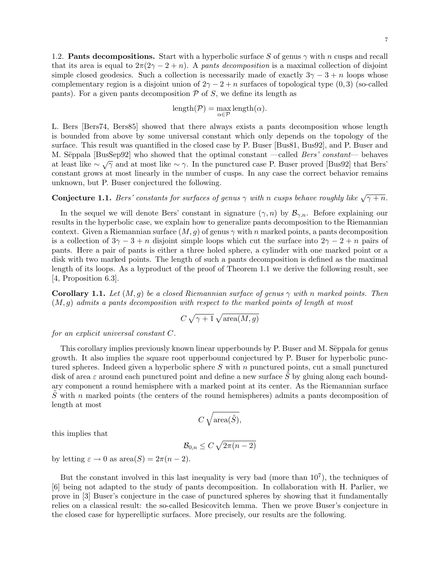1.2. **Pants decompositions.** Start with a hyperbolic surface S of genus  $\gamma$  with n cusps and recall that its area is equal to  $2\pi(2\gamma - 2 + n)$ . A pants decomposition is a maximal collection of disjoint simple closed geodesics. Such a collection is necessarily made of exactly  $3\gamma - 3 + n$  loops whose complementary region is a disjoint union of  $2\gamma - 2 + n$  surfaces of topological type  $(0, 3)$  (so-called pants). For a given pants decomposition  $P$  of  $S$ , we define its length as

$$
length(\mathcal{P}) = \max_{\alpha \in \mathcal{P}} length(\alpha).
$$

L. Bers [Bers74, Bers85] showed that there always exists a pants decomposition whose length is bounded from above by some universal constant which only depends on the topology of the surface. This result was quantified in the closed case by P. Buser [Bus81, Bus92], and P. Buser and M. Sëppala [BusSep92] who showed that the optimal constant —called *Bers' constant*— behaves at least like  $\sim \sqrt{\gamma}$  and at most like  $\sim \gamma$ . In the punctured case P. Buser proved [Bus92] that Bers' constant grows at most linearly in the number of cusps. In any case the correct behavior remains unknown, but P. Buser conjectured the following.

**Conjecture 1.1.** Bers' constants for surfaces of genus  $\gamma$  with n cusps behave roughly like  $\sqrt{\gamma + n}$ .

In the sequel we will denote Bers' constant in signature  $(\gamma, n)$  by  $\mathcal{B}_{\gamma,n}$ . Before explaining our results in the hyperbolic case, we explain how to generalize pants decomposition to the Riemannian context. Given a Riemannian surface  $(M, g)$  of genus  $\gamma$  with n marked points, a pants decomposition is a collection of  $3\gamma - 3 + n$  disjoint simple loops which cut the surface into  $2\gamma - 2 + n$  pairs of pants. Here a pair of pants is either a three holed sphere, a cylinder with one marked point or a disk with two marked points. The length of such a pants decomposition is defined as the maximal length of its loops. As a byproduct of the proof of Theorem 1.1 we derive the following result, see [4, Proposition 6.3].

**Corollary 1.1.** Let  $(M, g)$  be a closed Riemannian surface of genus  $\gamma$  with n marked points. Then  $(M, q)$  admits a pants decomposition with respect to the marked points of length at most

$$
C\,\sqrt{\gamma+1}\,\sqrt{\text{area}(M,g)}
$$

for an explicit universal constant C.

This corollary implies previously known linear upperbounds by P. Buser and M. Sëppala for genus growth. It also implies the square root upperbound conjectured by P. Buser for hyperbolic punctured spheres. Indeed given a hyperbolic sphere S with n punctured points, cut a small punctured disk of area  $\varepsilon$  around each punctured point and define a new surface S by gluing along each boundary component a round hemisphere with a marked point at its center. As the Riemannian surface  $\tilde{S}$  with n marked points (the centers of the round hemispheres) admits a pants decomposition of length at most

$$
C\,\sqrt{\text{area}(\tilde{S})},
$$

this implies that

$$
\mathcal{B}_{0,n} \le C\sqrt{2\pi(n-2)}
$$

by letting  $\varepsilon \to 0$  as area $(S) = 2\pi(n-2)$ .

But the constant involved in this last inequality is very bad (more than  $10^7$ ), the techniques of [6] being not adapted to the study of pants decomposition. In collaboration with H. Parlier, we prove in [3] Buser's conjecture in the case of punctured spheres by showing that it fundamentally relies on a classical result: the so-called Besicovitch lemma. Then we prove Buser's conjecture in the closed case for hyperelliptic surfaces. More precisely, our results are the following.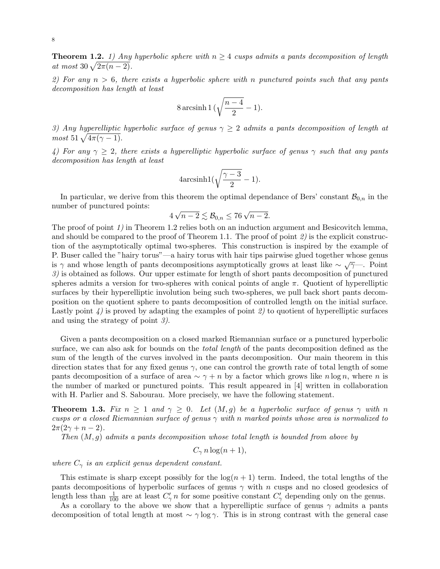**Theorem 1.2.** 1) Any hyperbolic sphere with  $n \geq 4$  cusps admits a pants decomposition of length at most  $30\sqrt{2\pi(n-2)}$ .

2) For any  $n > 6$ , there exists a hyperbolic sphere with n punctured points such that any pants decomposition has length at least

$$
8\arcsinh 1\big(\sqrt{\frac{n-4}{2}}-1\big).
$$

3) Any hyperelliptic hyperbolic surface of genus  $\gamma \geq 2$  admits a pants decomposition of length at most  $51\sqrt{4\pi(\gamma-1)}$ .

4) For any  $\gamma \geq 2$ , there exists a hyperelliptic hyperbolic surface of genus  $\gamma$  such that any pants decomposition has length at least

$$
4 \text{arcsinh1}(\sqrt{\frac{\gamma - 3}{2}} - 1).
$$

In particular, we derive from this theorem the optimal dependance of Bers' constant  $\mathcal{B}_{0,n}$  in the number of punctured points: √

$$
4\sqrt{n-2} \lesssim \mathcal{B}_{0,n} \le 76\sqrt{n-2}.
$$

The proof of point 1) in Theorem 1.2 relies both on an induction argument and Besicovitch lemma, and should be compared to the proof of Theorem 1.1. The proof of point 2) is the explicit construction of the asymptotically optimal two-spheres. This construction is inspired by the example of P. Buser called the "hairy torus"—a hairy torus with hair tips pairwise glued together whose genus is γ and whose length of pants decompositions asymptotically grows at least like  $\sim \sqrt{\gamma}$ —. Point 3) is obtained as follows. Our upper estimate for length of short pants decomposition of punctured spheres admits a version for two-spheres with conical points of angle  $\pi$ . Quotient of hyperelliptic surfaces by their hyperelliptic involution being such two-spheres, we pull back short pants decomposition on the quotient sphere to pants decomposition of controlled length on the initial surface. Lastly point  $\chi$  is proved by adapting the examples of point  $\chi$  to quotient of hyperelliptic surfaces and using the strategy of point 3).

Given a pants decomposition on a closed marked Riemannian surface or a punctured hyperbolic surface, we can also ask for bounds on the *total length* of the pants decomposition defined as the sum of the length of the curves involved in the pants decomposition. Our main theorem in this direction states that for any fixed genus  $\gamma$ , one can control the growth rate of total length of some pants decomposition of a surface of area  $\sim \gamma + n$  by a factor which grows like n log n, where n is the number of marked or punctured points. This result appeared in [4] written in collaboration with H. Parlier and S. Sabourau. More precisely, we have the following statement.

**Theorem 1.3.** Fix  $n \geq 1$  and  $\gamma \geq 0$ . Let  $(M, g)$  be a hyperbolic surface of genus  $\gamma$  with n cusps or a closed Riemannian surface of genus  $\gamma$  with n marked points whose area is normalized to  $2\pi(2\gamma+n-2)$ .

Then  $(M, g)$  admits a pants decomposition whose total length is bounded from above by

 $C_{\gamma} n \log(n+1),$ 

where  $C_{\gamma}$  is an explicit genus dependent constant.

This estimate is sharp except possibly for the  $log(n + 1)$  term. Indeed, the total lengths of the pants decompositions of hyperbolic surfaces of genus  $\gamma$  with n cusps and no closed geodesics of length less than  $\frac{1}{100}$  are at least  $C'_{\gamma}$  n for some positive constant  $C'_{\gamma}$  depending only on the genus.

As a corollary to the above we show that a hyperelliptic surface of genus  $\gamma$  admits a pants decomposition of total length at most  $\sim \gamma \log \gamma$ . This is in strong contrast with the general case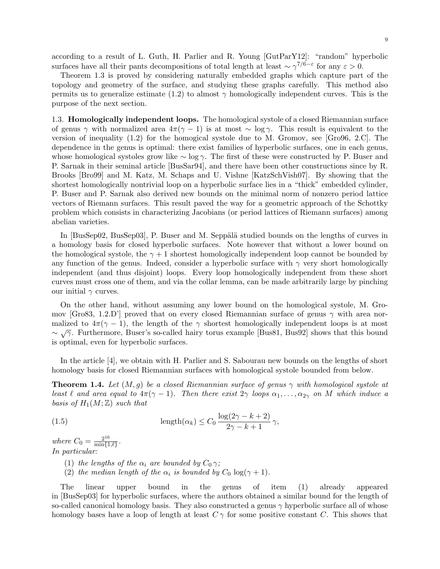according to a result of L. Guth, H. Parlier and R. Young [GutParY12]: "random" hyperbolic surfaces have all their pants decompositions of total length at least  $\sim \gamma^{7/6-\epsilon}$  for any  $\epsilon > 0$ .

Theorem 1.3 is proved by considering naturally embedded graphs which capture part of the topology and geometry of the surface, and studying these graphs carefully. This method also permits us to generalize estimate (1.2) to almost  $\gamma$  homologically independent curves. This is the purpose of the next section.

1.3. Homologically independent loops. The homological systole of a closed Riemannian surface of genus  $\gamma$  with normalized area  $4\pi(\gamma - 1)$  is at most ~ log  $\gamma$ . This result is equivalent to the version of inequality (1.2) for the homogical systole due to M. Gromov, see [Gro96, 2.C]. The dependence in the genus is optimal: there exist families of hyperbolic surfaces, one in each genus, whose homological systoles grow like  $\sim \log \gamma$ . The first of these were constructed by P. Buser and P. Sarnak in their seminal article [BusSar94], and there have been other constructions since by R. Brooks [Bro99] and M. Katz, M. Schaps and U. Vishne [KatzSchVish07]. By showing that the shortest homologically nontrivial loop on a hyperbolic surface lies in a "thick" embedded cylinder, P. Buser and P. Sarnak also derived new bounds on the minimal norm of nonzero period lattice vectors of Riemann surfaces. This result paved the way for a geometric approach of the Schottky problem which consists in characterizing Jacobians (or period lattices of Riemann surfaces) among abelian varieties.

In [BusSep02, BusSep03], P. Buser and M. Seppälä studied bounds on the lengths of curves in a homology basis for closed hyperbolic surfaces. Note however that without a lower bound on the homological systole, the  $\gamma + 1$  shortest homologically independent loop cannot be bounded by any function of the genus. Indeed, consider a hyperbolic surface with  $\gamma$  very short homologically independent (and thus disjoint) loops. Every loop homologically independent from these short curves must cross one of them, and via the collar lemma, can be made arbitrarily large by pinching our initial  $\gamma$  curves.

On the other hand, without assuming any lower bound on the homological systole, M. Gromov [Gro83, 1.2.D'] proved that on every closed Riemannian surface of genus  $\gamma$  with area normalized to  $4\pi(\gamma - 1)$ , the length of the  $\gamma$  shortest homologically independent loops is at most manzed to  $\frac{4\pi}{7}$ . Furthermore, Buser's so-called hairy torus example [Bus81, Bus92] shows that this bound is optimal, even for hyperbolic surfaces.

In the article [4], we obtain with H. Parlier and S. Sabourau new bounds on the lengths of short homology basis for closed Riemannian surfaces with homological systole bounded from below.

**Theorem 1.4.** Let  $(M, q)$  be a closed Riemannian surface of genus  $\gamma$  with homological systole at least  $\ell$  and area equal to  $4\pi(\gamma - 1)$ . Then there exist  $2\gamma$  loops  $\alpha_1, \ldots, \alpha_{2\gamma}$  on M which induce a basis of  $H_1(M; \mathbb{Z})$  such that

(1.5) 
$$
\operatorname{length}(\alpha_k) \le C_0 \frac{\log(2\gamma - k + 2)}{2\gamma - k + 1} \gamma,
$$

where  $C_0 = \frac{2^{16}}{\min\{1\}}$  $\frac{2^{10}}{\min\{1,\ell\}}$ . In particular:

- (1) the lengths of the  $\alpha_i$  are bounded by  $C_0 \gamma$ ;
- (2) the median length of the  $\alpha_i$  is bounded by  $C_0 \log(\gamma + 1)$ .

The linear upper bound in the genus of item (1) already appeared in [BusSep03] for hyperbolic surfaces, where the authors obtained a similar bound for the length of so-called canonical homology basis. They also constructed a genus  $\gamma$  hyperbolic surface all of whose homology bases have a loop of length at least  $C\gamma$  for some positive constant C. This shows that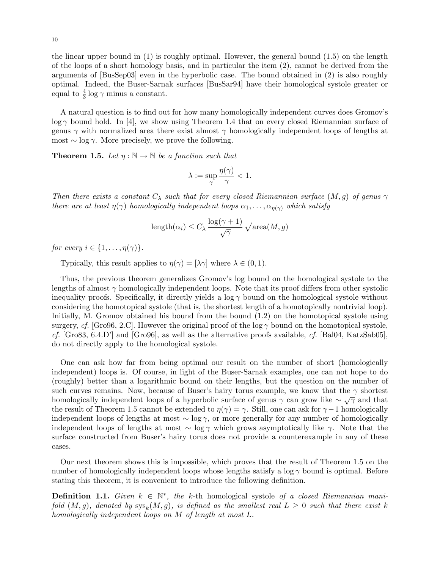the linear upper bound in (1) is roughly optimal. However, the general bound (1.5) on the length of the loops of a short homology basis, and in particular the item (2), cannot be derived from the arguments of [BusSep03] even in the hyperbolic case. The bound obtained in (2) is also roughly optimal. Indeed, the Buser-Sarnak surfaces [BusSar94] have their homological systole greater or equal to  $\frac{4}{3}$  log  $\gamma$  minus a constant.

A natural question is to find out for how many homologically independent curves does Gromov's  $\log \gamma$  bound hold. In [4], we show using Theorem 1.4 that on every closed Riemannian surface of genus  $\gamma$  with normalized area there exist almost  $\gamma$  homologically independent loops of lengths at most  $\sim$  log  $\gamma$ . More precisely, we prove the following.

**Theorem 1.5.** Let  $\eta : \mathbb{N} \to \mathbb{N}$  be a function such that

$$
\lambda := \sup_{\gamma} \frac{\eta(\gamma)}{\gamma} < 1.
$$

Then there exists a constant  $C_{\lambda}$  such that for every closed Riemannian surface  $(M, g)$  of genus  $\gamma$ there are at least  $\eta(\gamma)$  homologically independent loops  $\alpha_1, \ldots, \alpha_{\eta(\gamma)}$  which satisfy

$$
\operatorname{length}(\alpha_i) \le C_{\lambda} \frac{\log(\gamma + 1)}{\sqrt{\gamma}} \sqrt{\operatorname{area}(M, g)}
$$

for every  $i \in \{1, \ldots, \eta(\gamma)\}.$ 

Typically, this result applies to  $\eta(\gamma) = [\lambda \gamma]$  where  $\lambda \in (0, 1)$ .

Thus, the previous theorem generalizes Gromov's log bound on the homological systole to the lengths of almost  $\gamma$  homologically independent loops. Note that its proof differs from other systolic inequality proofs. Specifically, it directly yields a  $\log \gamma$  bound on the homological systole without considering the homotopical systole (that is, the shortest length of a homotopically nontrivial loop). Initially, M. Gromov obtained his bound from the bound (1.2) on the homotopical systole using surgery, cf. [Gro96, 2.C]. However the original proof of the log  $\gamma$  bound on the homotopical systole, cf. [Gro83, 6.4.D'] and [Gro96], as well as the alternative proofs available, cf. [Bal04, KatzSab05], do not directly apply to the homological systole.

One can ask how far from being optimal our result on the number of short (homologically independent) loops is. Of course, in light of the Buser-Sarnak examples, one can not hope to do (roughly) better than a logarithmic bound on their lengths, but the question on the number of such curves remains. Now, because of Buser's hairy torus example, we know that the  $\gamma$  shortest homologically independent loops of a hyperbolic surface of genus  $\gamma$  can grow like  $\sim \sqrt{\gamma}$  and that the result of Theorem 1.5 cannot be extended to  $\eta(\gamma) = \gamma$ . Still, one can ask for  $\gamma - 1$  homologically independent loops of lengths at most  $\sim$  log  $\gamma$ , or more generally for any number of homologically independent loops of lengths at most  $\sim \log \gamma$  which grows asymptotically like  $\gamma$ . Note that the surface constructed from Buser's hairy torus does not provide a counterexample in any of these cases.

Our next theorem shows this is impossible, which proves that the result of Theorem 1.5 on the number of homologically independent loops whose lengths satisfy a log  $\gamma$  bound is optimal. Before stating this theorem, it is convenient to introduce the following definition.

**Definition 1.1.** Given  $k \in \mathbb{N}^*$ , the k-th homological systole of a closed Riemannian manifold  $(M, g)$ , denoted by  $\operatorname{sys}_k(M, g)$ , is defined as the smallest real  $L \geq 0$  such that there exist k homologically independent loops on M of length at most L.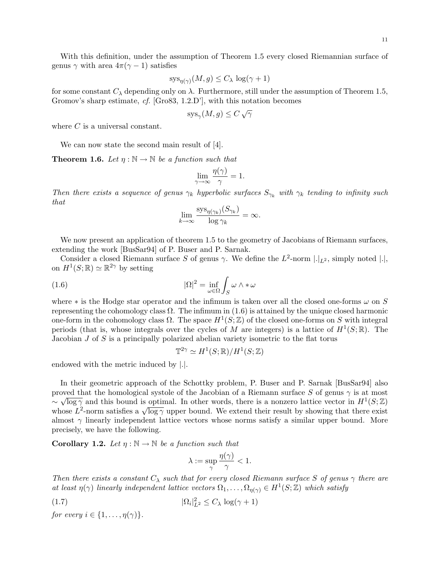With this definition, under the assumption of Theorem 1.5 every closed Riemannian surface of genus  $\gamma$  with area  $4\pi(\gamma - 1)$  satisfies

$$
sys_{\eta(\gamma)}(M, g) \le C_{\lambda} \log(\gamma + 1)
$$

for some constant  $C_{\lambda}$  depending only on  $\lambda$ . Furthermore, still under the assumption of Theorem 1.5, Gromov's sharp estimate, cf. [Gro83, 1.2.D'], with this notation becomes

$$
sys_{\gamma}(M, g) \le C \sqrt{\gamma}
$$

where C is a universal constant.

We can now state the second main result of [4].

**Theorem 1.6.** Let  $\eta : \mathbb{N} \to \mathbb{N}$  be a function such that

$$
\lim_{\gamma \to \infty} \frac{\eta(\gamma)}{\gamma} = 1.
$$

Then there exists a sequence of genus  $\gamma_k$  hyperbolic surfaces  $S_{\gamma_k}$  with  $\gamma_k$  tending to infinity such that

$$
\lim_{k \to \infty} \frac{\operatorname{sys}_{\eta(\gamma_k)}(S_{\gamma_k})}{\log \gamma_k} = \infty.
$$

We now present an application of theorem 1.5 to the geometry of Jacobians of Riemann surfaces, extending the work [BusSar94] of P. Buser and P. Sarnak.

Consider a closed Riemann surface S of genus  $\gamma$ . We define the  $L^2$ -norm  $|.|_{L^2}$ , simply noted  $|.|$ , on  $H^1(S; \mathbb{R}) \simeq \mathbb{R}^{2\gamma}$  by setting

(1.6) 
$$
|\Omega|^2 = \inf_{\omega \in \Omega} \int_S \omega \wedge * \omega
$$

where  $*$  is the Hodge star operator and the infimum is taken over all the closed one-forms  $\omega$  on S representing the cohomology class  $\Omega$ . The infimum in (1.6) is attained by the unique closed harmonic one-form in the cohomology class  $\Omega$ . The space  $H^1(S;\mathbb{Z})$  of the closed one-forms on S with integral periods (that is, whose integrals over the cycles of M are integers) is a lattice of  $H^1(S;\mathbb{R})$ . The Jacobian  $J$  of  $S$  is a principally polarized abelian variety isometric to the flat torus

$$
\mathbb{T}^{2\gamma} \simeq H^1(S; \mathbb{R})/H^1(S; \mathbb{Z})
$$

endowed with the metric induced by |.|.

In their geometric approach of the Schottky problem, P. Buser and P. Sarnak [BusSar94] also proved that the homological systole of the Jacobian of a Riemann surface S of genus  $\gamma$  is at most  $\sim \sqrt{\log \gamma}$  and this bound is optimal. In other words, there is a nonzero lattice vector in  $H^1(S;\mathbb{Z})$  $\sim \sqrt{\log \gamma}$  and this bound is optimal. In other words, there is a honzero lattice vector in  $H^{-}(S; \mathbb{Z})$  whose  $L^2$ -norm satisfies a  $\sqrt{\log \gamma}$  upper bound. We extend their result by showing that there exist almost  $\gamma$  linearly independent lattice vectors whose norms satisfy a similar upper bound. More precisely, we have the following.

**Corollary 1.2.** Let  $\eta : \mathbb{N} \to \mathbb{N}$  be a function such that

$$
\lambda := \sup_{\gamma} \frac{\eta(\gamma)}{\gamma} < 1.
$$

Then there exists a constant  $C_{\lambda}$  such that for every closed Riemann surface S of genus  $\gamma$  there are at least  $\eta(\gamma)$  linearly independent lattice vectors  $\Omega_1, \ldots, \Omega_{\eta(\gamma)} \in H^1(S; \mathbb{Z})$  which satisfy

$$
(1.7) \t\t |\Omega_i|_{L^2}^2 \le C_\lambda \log(\gamma + 1)
$$

for every  $i \in \{1, \ldots, \eta(\gamma)\}.$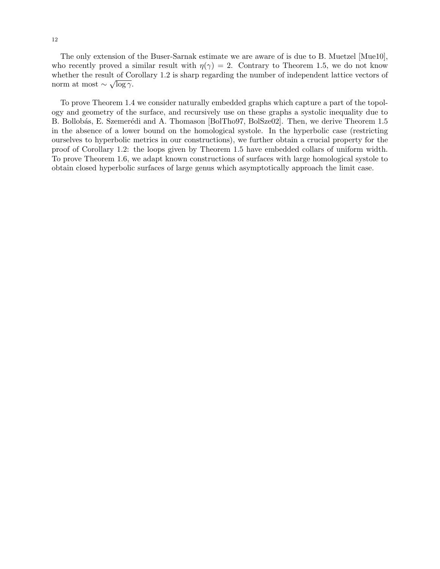The only extension of the Buser-Sarnak estimate we are aware of is due to B. Muetzel [Mue10], who recently proved a similar result with  $\eta(\gamma) = 2$ . Contrary to Theorem 1.5, we do not know whether the result of Corollary 1.2 is sharp regarding the number of independent lattice vectors of norm at most  $\sim \sqrt{\log \gamma}$ .

To prove Theorem 1.4 we consider naturally embedded graphs which capture a part of the topology and geometry of the surface, and recursively use on these graphs a systolic inequality due to B. Bollobás, E. Szemerédi and A. Thomason [BolTho97, BolSze02]. Then, we derive Theorem 1.5 in the absence of a lower bound on the homological systole. In the hyperbolic case (restricting ourselves to hyperbolic metrics in our constructions), we further obtain a crucial property for the proof of Corollary 1.2: the loops given by Theorem 1.5 have embedded collars of uniform width. To prove Theorem 1.6, we adapt known constructions of surfaces with large homological systole to obtain closed hyperbolic surfaces of large genus which asymptotically approach the limit case.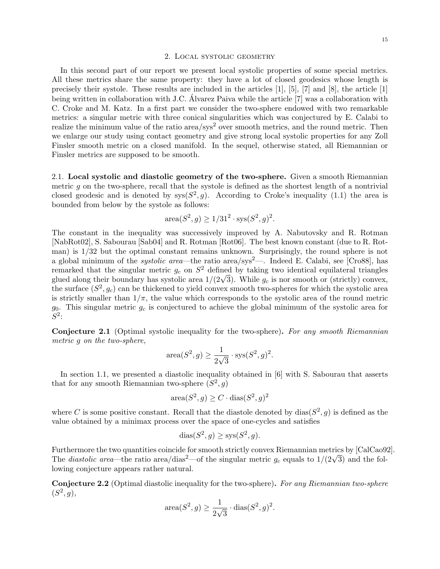### 2. Local systolic geometry

In this second part of our report we present local systolic properties of some special metrics. All these metrics share the same property: they have a lot of closed geodesics whose length is precisely their systole. These results are included in the articles  $[1]$ ,  $[5]$ ,  $[7]$  and  $[8]$ , the article  $[1]$ being written in collaboration with J.C. Alvarez Paiva while the article [7] was a collaboration with C. Croke and M. Katz. In a first part we consider the two-sphere endowed with two remarkable metrics: a singular metric with three conical singularities which was conjectured by E. Calabi to realize the minimum value of the ratio area/sys<sup>2</sup> over smooth metrics, and the round metric. Then we enlarge our study using contact geometry and give strong local systolic properties for any Zoll Finsler smooth metric on a closed manifold. In the sequel, otherwise stated, all Riemannian or Finsler metrics are supposed to be smooth.

2.1. Local systolic and diastolic geometry of the two-sphere. Given a smooth Riemannian metric  $g$  on the two-sphere, recall that the systole is defined as the shortest length of a nontrivial closed geodesic and is denoted by  $sys(S^2, g)$ . According to Croke's inequality (1.1) the area is bounded from below by the systole as follows:

area
$$
(S^2, g) \ge 1/31^2 \cdot sys(S^2, g)^2
$$
.

The constant in the inequality was successively improved by A. Nabutovsky and R. Rotman [NabRot02], S. Sabourau [Sab04] and R. Rotman [Rot06]. The best known constant (due to R. Rotman) is 1/32 but the optimal constant remains unknown. Surprisingly, the round sphere is not a global minimum of the *systolic area*—the ratio area/sys<sup>2</sup>—. Indeed E. Calabi, see [Cro88], has remarked that the singular metric  $g_c$  on  $S^2$  defined by taking two identical equilateral triangles remarked that the singular metric  $g_c$  on  $S^2$  defined by taking two identical equilateral triangles glued along their boundary has systolic area  $1/(2\sqrt{3})$ . While  $g_c$  is nor smooth or (strictly) convex, the surface  $(S^2, g_c)$  can be thickened to yield convex smooth two-spheres for which the systolic area is strictly smaller than  $1/\pi$ , the value which corresponds to the systolic area of the round metric  $g_0$ . This singular metric  $g_c$  is conjectured to achieve the global minimum of the systolic area for  $S^2$ :

Conjecture 2.1 (Optimal systolic inequality for the two-sphere). For any smooth Riemannian metric g on the two-sphere,

$$
\operatorname{area}(S^2, g) \ge \frac{1}{2\sqrt{3}} \cdot \operatorname{sys}(S^2, g)^2.
$$

In section 1.1, we presented a diastolic inequality obtained in [6] with S. Sabourau that asserts that for any smooth Riemannian two-sphere  $(S^2, g)$ 

$$
\operatorname{area}(S^2, g) \ge C \cdot \operatorname{dias}(S^2, g)^2
$$

where C is some positive constant. Recall that the diastole denoted by  $\text{dias}(S^2, g)$  is defined as the value obtained by a minimax process over the space of one-cycles and satisfies

$$
dias(S^2, g) \geq sys(S^2, g).
$$

Furthermore the two quantities coincide for smooth strictly convex Riemannian metrics by [CalCao92]. Furthermore the two quantities coincide for smooth strictly convex Klemannian metrics by [CalCaos.<br>The *diastolic area*—the ratio area/dias<sup>2</sup>—of the singular metric  $g_c$  equals to  $1/(2\sqrt{3})$  and the following conjecture appears rather natural.

Conjecture 2.2 (Optimal diastolic inequality for the two-sphere). For any Riemannian two-sphere  $(S^2, g),$ 

$$
\operatorname{area}(S^2, g) \ge \frac{1}{2\sqrt{3}} \cdot \operatorname{dias}(S^2, g)^2.
$$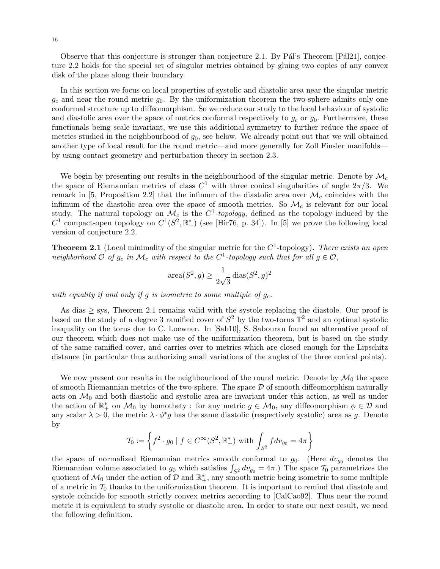Observe that this conjecture is stronger than conjecture 2.1. By Pál's Theorem  $[Pá121]$ , conjecture 2.2 holds for the special set of singular metrics obtained by gluing two copies of any convex disk of the plane along their boundary.

In this section we focus on local properties of systolic and diastolic area near the singular metric  $g_c$  and near the round metric  $g_0$ . By the uniformization theorem the two-sphere admits only one conformal structure up to diffeomorphism. So we reduce our study to the local behaviour of systolic and diastolic area over the space of metrics conformal respectively to  $g_c$  or  $g_0$ . Furthermore, these functionals being scale invariant, we use this additional symmetry to further reduce the space of metrics studied in the neighbourhood of  $g_0$ , see below. We already point out that we will obtained another type of local result for the round metric—and more generally for Zoll Finsler manifolds by using contact geometry and perturbation theory in section 2.3.

We begin by presenting our results in the neighbourhood of the singular metric. Denote by  $\mathcal{M}_c$ the space of Riemannian metrics of class  $C^1$  with three conical singularities of angle  $2\pi/3$ . We remark in [5, Proposition 2.2] that the infimum of the diastolic area over  $\mathcal{M}_c$  coincides with the infimum of the diastolic area over the space of smooth metrics. So  $\mathcal{M}_c$  is relevant for our local study. The natural topology on  $\mathcal{M}_c$  is the  $C^1$ -topology, defined as the topology induced by the  $C^1$  compact-open topology on  $C^1(S^2, \mathbb{R}^*_+)$  (see [Hir76, p. 34]). In [5] we prove the following local version of conjecture 2.2.

**Theorem 2.1** (Local minimality of the singular metric for the  $C<sup>1</sup>$ -topology). There exists an open neighborhood  $\mathcal O$  of  $g_c$  in  $\mathcal M_c$  with respect to the  $C^1$ -topology such that for all  $g \in \mathcal O$ ,

$$
\operatorname{area}(S^2, g) \ge \frac{1}{2\sqrt{3}} \operatorname{dias}(S^2, g)^2
$$

with equality if and only if g is isometric to some multiple of  $g_c$ .

As dias  $\geq$  sys, Theorem 2.1 remains valid with the systole replacing the diastole. Our proof is based on the study of a degree 3 ramified cover of  $S^2$  by the two-torus  $\mathbb{T}^2$  and an optimal systolic inequality on the torus due to C. Loewner. In [Sab10], S. Sabourau found an alternative proof of our theorem which does not make use of the uniformization theorem, but is based on the study of the same ramified cover, and carries over to metrics which are closed enough for the Lipschitz distance (in particular thus authorizing small variations of the angles of the three conical points).

We now present our results in the neighbourhood of the round metric. Denote by  $\mathcal{M}_0$  the space of smooth Riemannian metrics of the two-sphere. The space  $D$  of smooth diffeomorphism naturally acts on  $\mathcal{M}_0$  and both diastolic and systolic area are invariant under this action, as well as under the action of  $\mathbb{R}_+^*$  on  $\mathcal{M}_0$  by homothety : for any metric  $g \in \mathcal{M}_0$ , any diffeomorphism  $\phi \in \mathcal{D}$  and any scalar  $\lambda > 0$ , the metric  $\lambda \cdot \phi^* g$  has the same diastolic (respectively systolic) area as g. Denote by

$$
\mathcal{T}_0 := \left\{ f^2 \cdot g_0 \mid f \in C^\infty(S^2, \mathbb{R}_+^*) \text{ with } \int_{S^2} f dv_{g_0} = 4\pi \right\}
$$

the space of normalized Riemannian metrics smooth conformal to  $g_0$ . (Here  $dv_{g_0}$  denotes the Riemannian volume associated to  $g_0$  which satisfies  $\int_{S^2} dv_{g_0} = 4\pi$ .) The space  $\mathcal{T}_0$  parametrizes the quotient of  $\mathcal{M}_0$  under the action of  $\mathcal{D}$  and  $\mathbb{R}^*_+$ , any smooth metric being isometric to some multiple of a metric in  $\mathcal{T}_0$  thanks to the uniformization theorem. It is important to remind that diastole and systole coincide for smooth strictly convex metrics according to [CalCao92]. Thus near the round metric it is equivalent to study systolic or diastolic area. In order to state our next result, we need the following definition.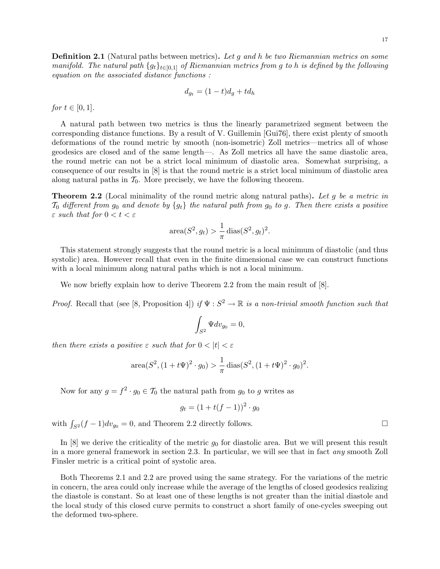**Definition 2.1** (Natural paths between metrics). Let q and h be two Riemannian metrics on some manifold. The natural path  $\{g_t\}_{t\in[0,1]}$  of Riemannian metrics from g to h is defined by the following equation on the associated distance functions :

$$
d_{g_t} = (1-t)d_g + td_h
$$

*for*  $t \in [0, 1]$ .

A natural path between two metrics is thus the linearly parametrized segment between the corresponding distance functions. By a result of V. Guillemin [Gui76], there exist plenty of smooth deformations of the round metric by smooth (non-isometric) Zoll metrics—metrics all of whose geodesics are closed and of the same length—. As Zoll metrics all have the same diastolic area, the round metric can not be a strict local minimum of diastolic area. Somewhat surprising, a consequence of our results in [8] is that the round metric is a strict local minimum of diastolic area along natural paths in  $\mathcal{T}_0$ . More precisely, we have the following theorem.

**Theorem 2.2** (Local minimality of the round metric along natural paths). Let q be a metric in  $\mathcal{T}_0$  different from  $g_0$  and denote by  $\{g_t\}$  the natural path from  $g_0$  to g. Then there exists a positive  $\varepsilon$  such that for  $0 < t < \varepsilon$ 

$$
\operatorname{area}(S^2, g_t) > \frac{1}{\pi} \operatorname{dias}(S^2, g_t)^2.
$$

This statement strongly suggests that the round metric is a local minimum of diastolic (and thus systolic) area. However recall that even in the finite dimensional case we can construct functions with a local minimum along natural paths which is not a local minimum.

We now briefly explain how to derive Theorem 2.2 from the main result of [8].

*Proof.* Recall that (see [8, Proposition 4]) if  $\Psi : S^2 \to \mathbb{R}$  is a non-trivial smooth function such that

$$
\int_{S^2} \Psi dv_{g_0} = 0,
$$

then there exists a positive  $\varepsilon$  such that for  $0 < |t| < \varepsilon$ 

area
$$
(S^2, (1 + t\Psi)^2 \cdot g_0) > \frac{1}{\pi} \operatorname{dias}(S^2, (1 + t\Psi)^2 \cdot g_0)^2
$$
.

Now for any  $g = f^2 \cdot g_0 \in \mathcal{T}_0$  the natural path from  $g_0$  to g writes as

$$
g_t = (1 + t(f - 1))^2 \cdot g_0
$$

with  $\int_{S^2} (f - 1) dv_{g_0} = 0$ , and Theorem 2.2 directly follows.

In  $[8]$  we derive the criticality of the metric  $g_0$  for diastolic area. But we will present this result in a more general framework in section 2.3. In particular, we will see that in fact any smooth Zoll Finsler metric is a critical point of systolic area.

Both Theorems 2.1 and 2.2 are proved using the same strategy. For the variations of the metric in concern, the area could only increase while the average of the lengths of closed geodesics realizing the diastole is constant. So at least one of these lengths is not greater than the initial diastole and the local study of this closed curve permits to construct a short family of one-cycles sweeping out the deformed two-sphere.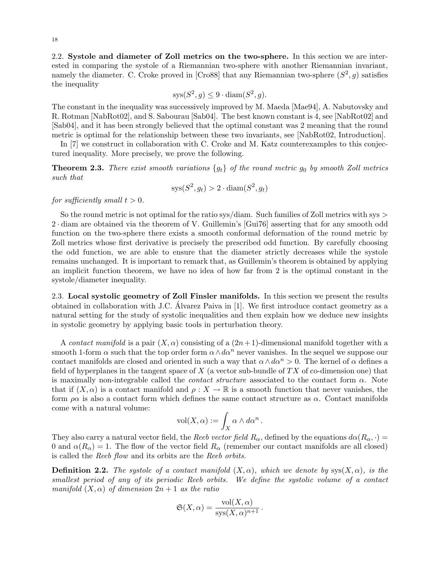2.2. Systole and diameter of Zoll metrics on the two-sphere. In this section we are interested in comparing the systole of a Riemannian two-sphere with another Riemannian invariant, namely the diameter. C. Croke proved in [Cro88] that any Riemannian two-sphere  $(S^2, g)$  satisfies the inequality

$$
sys(S^2, g) \le 9 \cdot diam(S^2, g).
$$

The constant in the inequality was successively improved by M. Maeda [Mae94], A. Nabutovsky and R. Rotman [NabRot02], and S. Sabourau [Sab04]. The best known constant is 4, see [NabRot02] and [Sab04], and it has been strongly believed that the optimal constant was 2 meaning that the round metric is optimal for the relationship between these two invariants, see [NabRot02, Introduction].

In [7] we construct in collaboration with C. Croke and M. Katz counterexamples to this conjectured inequality. More precisely, we prove the following.

**Theorem 2.3.** There exist smooth variations  $\{g_t\}$  of the round metric  $g_0$  by smooth Zoll metrics such that

$$
sys(S^2, g_t) > 2 \cdot diam(S^2, g_t)
$$

for sufficiently small  $t > 0$ .

So the round metric is not optimal for the ratio sys/diam. Such families of Zoll metrics with sys  $>$ 2 · diam are obtained via the theorem of V. Guillemin's [Gui76] asserting that for any smooth odd function on the two-sphere there exists a smooth conformal deformation of the round metric by Zoll metrics whose first derivative is precisely the prescribed odd function. By carefully choosing the odd function, we are able to ensure that the diameter strictly decreases while the systole remains unchanged. It is important to remark that, as Guillemin's theorem is obtained by applying an implicit function theorem, we have no idea of how far from 2 is the optimal constant in the systole/diameter inequality.

2.3. Local systolic geometry of Zoll Finsler manifolds. In this section we present the results obtained in collaboration with J.C. Alvarez Paiva in [1]. We first introduce contact geometry as a ´ natural setting for the study of systolic inequalities and then explain how we deduce new insights in systolic geometry by applying basic tools in perturbation theory.

A contact manifold is a pair  $(X, \alpha)$  consisting of a  $(2n+1)$ -dimensional manifold together with a smooth 1-form  $\alpha$  such that the top order form  $\alpha \wedge d\alpha^n$  never vanishes. In the sequel we suppose our contact manifolds are closed and oriented in such a way that  $\alpha \wedge d\alpha^n > 0$ . The kernel of  $\alpha$  defines a field of hyperplanes in the tangent space of  $X$  (a vector sub-bundle of  $TX$  of co-dimension one) that is maximally non-integrable called the *contact structure* associated to the contact form  $\alpha$ . Note that if  $(X, \alpha)$  is a contact manifold and  $\rho : X \to \mathbb{R}$  is a smooth function that never vanishes, the form  $\rho \alpha$  is also a contact form which defines the same contact structure as  $\alpha$ . Contact manifolds come with a natural volume:

$$
\text{vol}(X,\alpha) := \int_X \alpha \wedge d\alpha^n.
$$

They also carry a natural vector field, the Reeb vector field  $R_{\alpha}$ , defined by the equations  $d\alpha(R_{\alpha},\cdot)$ 0 and  $\alpha(R_{\alpha}) = 1$ . The flow of the vector field  $R_{\alpha}$  (remember our contact manifolds are all closed) is called the Reeb flow and its orbits are the Reeb orbits.

**Definition 2.2.** The systole of a contact manifold  $(X, \alpha)$ , which we denote by sys $(X, \alpha)$ , is the smallest period of any of its periodic Reeb orbits. We define the systolic volume of a contact manifold  $(X, \alpha)$  of dimension  $2n + 1$  as the ratio

$$
\mathfrak{S}(X,\alpha) = \frac{\text{vol}(X,\alpha)}{\text{sys}(X,\alpha)^{n+1}}.
$$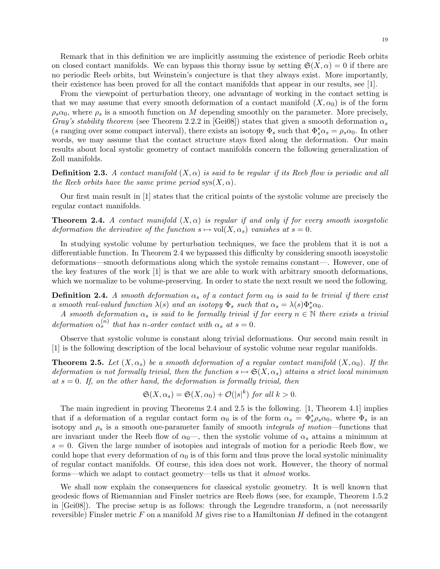Remark that in this definition we are implicitly assuming the existence of periodic Reeb orbits on closed contact manifolds. We can bypass this thorny issue by setting  $\mathfrak{S}(X,\alpha) = 0$  if there are no periodic Reeb orbits, but Weinstein's conjecture is that they always exist. More importantly, their existence has been proved for all the contact manifolds that appear in our results, see [1].

From the viewpoint of perturbation theory, one advantage of working in the contact setting is that we may assume that every smooth deformation of a contact manifold  $(X, \alpha_0)$  is of the form  $\rho_s \alpha_0$ , where  $\rho_s$  is a smooth function on M depending smoothly on the parameter. More precisely, Gray's stability theorem (see Theorem 2.2.2 in [Gei08]) states that given a smooth deformation  $\alpha_s$ (s ranging over some compact interval), there exists an isotopy  $\Phi_s$  such that  $\Phi_s^* \alpha_s = \rho_s \alpha_0$ . In other words, we may assume that the contact structure stays fixed along the deformation. Our main results about local systolic geometry of contact manifolds concern the following generalization of Zoll manifolds.

**Definition 2.3.** A contact manifold  $(X, \alpha)$  is said to be regular if its Reeb flow is periodic and all the Reeb orbits have the same prime period  $\text{sys}(X, \alpha)$ .

Our first main result in [1] states that the critical points of the systolic volume are precisely the regular contact manifolds.

**Theorem 2.4.** A contact manifold  $(X, \alpha)$  is regular if and only if for every smooth isosystolic deformation the derivative of the function  $s \mapsto vol(X, \alpha_s)$  vanishes at  $s = 0$ .

In studying systolic volume by perturbation techniques, we face the problem that it is not a differentiable function. In Theorem 2.4 we bypassed this difficulty by considering smooth isosystolic deformations—smooth deformations along which the systole remains constant—. However, one of the key features of the work [1] is that we are able to work with arbitrary smooth deformations, which we normalize to be volume-preserving. In order to state the next result we need the following.

**Definition 2.4.** A smooth deformation  $\alpha_s$  of a contact form  $\alpha_0$  is said to be trivial if there exist a smooth real-valued function  $\lambda(s)$  and an isotopy  $\Phi_s$  such that  $\alpha_s = \lambda(s)\Phi_s^*\alpha_0$ .

A smooth deformation  $\alpha_s$  is said to be formally trivial if for every  $n \in \mathbb{N}$  there exists a trivial deformation  $\alpha_s^{(n)}$  that has n-order contact with  $\alpha_s$  at  $s=0$ .

Observe that systolic volume is constant along trivial deformations. Our second main result in [1] is the following description of the local behaviour of systolic volume near regular manifolds.

**Theorem 2.5.** Let  $(X, \alpha_s)$  be a smooth deformation of a regular contact manifold  $(X, \alpha_0)$ . If the deformation is not formally trivial, then the function  $s \mapsto \mathfrak{S}(X, \alpha_s)$  attains a strict local minimum at  $s = 0$ . If, on the other hand, the deformation is formally trivial, then

$$
\mathfrak{S}(X,\alpha_s) = \mathfrak{S}(X,\alpha_0) + \mathcal{O}(|s|^k) \text{ for all } k > 0.
$$

The main ingredient in proving Theorems 2.4 and 2.5 is the following. [1, Theorem 4.1] implies that if a deformation of a regular contact form  $\alpha_0$  is of the form  $\alpha_s = \Phi_s^* \rho_s \alpha_0$ , where  $\Phi_s$  is an isotopy and  $\rho_s$  is a smooth one-parameter family of smooth *integrals of motion*—functions that are invariant under the Reeb flow of  $\alpha_0$ —, then the systolic volume of  $\alpha_s$  attains a minimum at  $s = 0$ . Given the large number of isotopies and integrals of motion for a periodic Reeb flow, we could hope that every deformation of  $\alpha_0$  is of this form and thus prove the local systolic minimality of regular contact manifolds. Of course, this idea does not work. However, the theory of normal forms—which we adapt to contact geometry—tells us that it almost works.

We shall now explain the consequences for classical systolic geometry. It is well known that geodesic flows of Riemannian and Finsler metrics are Reeb flows (see, for example, Theorem 1.5.2 in [Gei08]). The precise setup is as follows: through the Legendre transform, a (not necessarily reversible) Finsler metric  $F$  on a manifold  $M$  gives rise to a Hamiltonian  $H$  defined in the cotangent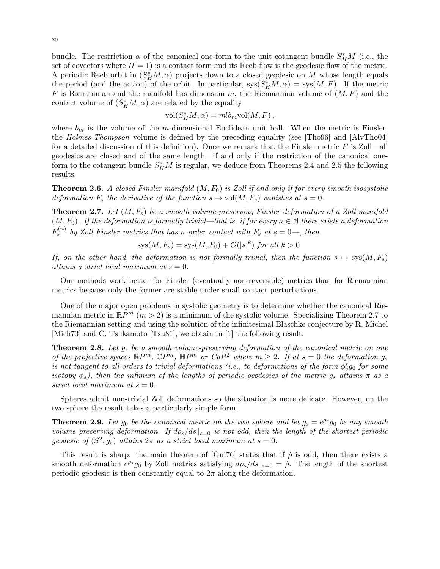bundle. The restriction  $\alpha$  of the canonical one-form to the unit cotangent bundle  $S_H^*M$  (i.e., the set of covectors where  $H = 1$ ) is a contact form and its Reeb flow is the geodesic flow of the metric. A periodic Reeb orbit in  $(S<sub>H</sub><sup>*</sup>M, \alpha)$  projects down to a closed geodesic on M whose length equals the period (and the action) of the orbit. In particular,  $sys(S_H^*M, \alpha) = sys(M, F)$ . If the metric F is Riemannian and the manifold has dimension m, the Riemannian volume of  $(M, F)$  and the contact volume of  $(S_H^*M, \alpha)$  are related by the equality

$$
vol(S_H^*M, \alpha) = m!b_m vol(M, F),
$$

where  $b_m$  is the volume of the m-dimensional Euclidean unit ball. When the metric is Finsler, the Holmes-Thompson volume is defined by the preceding equality (see [Tho96] and [AlvTho04] for a detailed discussion of this definition). Once we remark that the Finsler metric  $F$  is Zoll—all geodesics are closed and of the same length—if and only if the restriction of the canonical oneform to the cotangent bundle  $S_H^*M$  is regular, we deduce from Theorems 2.4 and 2.5 the following results.

**Theorem 2.6.** A closed Finsler manifold  $(M, F_0)$  is Zoll if and only if for every smooth isosystolic deformation  $F_s$  the derivative of the function  $s \mapsto \text{vol}(M, F_s)$  vanishes at  $s = 0$ .

**Theorem 2.7.** Let  $(M, F_s)$  be a smooth volume-preserving Finsler deformation of a Zoll manifold  $(M, F_0)$ . If the deformation is formally trivial—that is, if for every  $n \in \mathbb{N}$  there exists a deformation  $F_s^{(n)}$  by Zoll Finsler metrics that has n-order contact with  $F_s$  at  $s = 0$ , then

$$
sys(M, F_s) = sys(M, F_0) + \mathcal{O}(|s|^k) \text{ for all } k > 0.
$$

If, on the other hand, the deformation is not formally trivial, then the function  $s \mapsto sys(M, F_s)$ attains a strict local maximum at  $s = 0$ .

Our methods work better for Finsler (eventually non-reversible) metrics than for Riemannian metrics because only the former are stable under small contact perturbations.

One of the major open problems in systolic geometry is to determine whether the canonical Riemannian metric in  $\mathbb{R}P^m$   $(m>2)$  is a minimum of the systolic volume. Specializing Theorem 2.7 to the Riemannian setting and using the solution of the infinitesimal Blaschke conjecture by R. Michel [Mich73] and C. Tsukamoto [Tsu81], we obtain in [1] the following result.

**Theorem 2.8.** Let  $g_s$  be a smooth volume-preserving deformation of the canonical metric on one of the projective spaces  $\mathbb{R}P^m$ ,  $\mathbb{C}P^m$ ,  $\mathbb{H}P^m$  or  $CaP^2$  where  $m \geq 2$ . If at  $s = 0$  the deformation  $g_s$ is not tangent to all orders to trivial deformations (i.e., to deformations of the form  $\phi_s^*g_0$  for some isotopy  $\phi_s$ ), then the infimum of the lengths of periodic geodesics of the metric  $g_s$  attains  $\pi$  as a strict local maximum at  $s = 0$ .

Spheres admit non-trivial Zoll deformations so the situation is more delicate. However, on the two-sphere the result takes a particularly simple form.

**Theorem 2.9.** Let  $g_0$  be the canonical metric on the two-sphere and let  $g_s = e^{\rho_s} g_0$  be any smooth volume preserving deformation. If  $d\rho_s/ds|_{s=0}$  is not odd, then the length of the shortest periodic geodesic of  $(S^2, g_s)$  attains  $2\pi$  as a strict local maximum at  $s = 0$ .

This result is sharp: the main theorem of [Gui76] states that if  $\rho$  is odd, then there exists a smooth deformation  $e^{\rho_s}g_0$  by Zoll metrics satisfying  $d\rho_s/ds|_{s=0} = \dot{\rho}$ . The length of the shortest periodic geodesic is then constantly equal to  $2\pi$  along the deformation.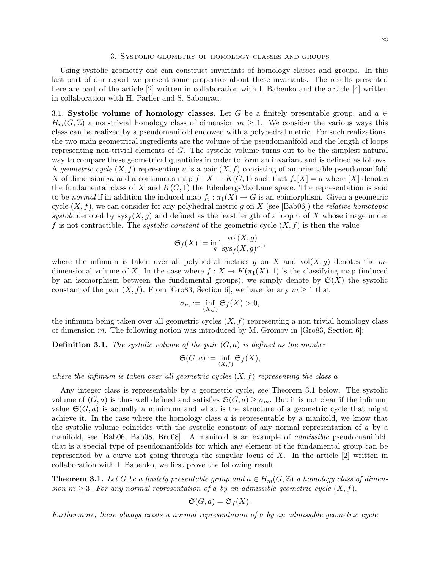#### 3. Systolic geometry of homology classes and groups

Using systolic geometry one can construct invariants of homology classes and groups. In this last part of our report we present some properties about these invariants. The results presented here are part of the article [2] written in collaboration with I. Babenko and the article [4] written in collaboration with H. Parlier and S. Sabourau.

3.1. Systolic volume of homology classes. Let G be a finitely presentable group, and  $a \in$  $H_m(G,\mathbb{Z})$  a non-trivial homology class of dimension  $m \geq 1$ . We consider the various ways this class can be realized by a pseudomanifold endowed with a polyhedral metric. For such realizations, the two main geometrical ingredients are the volume of the pseudomanifold and the length of loops representing non-trivial elements of G. The systolic volume turns out to be the simplest natural way to compare these geometrical quantities in order to form an invariant and is defined as follows. A geometric cycle  $(X, f)$  representing a is a pair  $(X, f)$  consisting of an orientable pseudomanifold X of dimension m and a continuous map  $f: X \to K(G, 1)$  such that  $f_*[X] = a$  where  $[X]$  denotes the fundamental class of X and  $K(G, 1)$  the Eilenberg-MacLane space. The representation is said to be normal if in addition the induced map  $f_{\sharp} : \pi_1(X) \to G$  is an epimorphism. Given a geometric cycle  $(X, f)$ , we can consider for any polyhedral metric g on X (see [Bab06]) the *relative homotopic* systole denoted by  $\operatorname{sys}_f(X,g)$  and defined as the least length of a loop  $\gamma$  of X whose image under f is not contractible. The *systolic constant* of the geometric cycle  $(X, f)$  is then the value

$$
\mathfrak{S}_f(X) := \inf_g \frac{\text{vol}(X,g)}{\text{sys}_f(X,g)^m},
$$

where the infimum is taken over all polyhedral metrics g on X and  $vol(X, g)$  denotes the mdimensional volume of X. In the case where  $f: X \to K(\pi_1(X), 1)$  is the classifying map (induced by an isomorphism between the fundamental groups), we simply denote by  $\mathfrak{S}(X)$  the systolic constant of the pair  $(X, f)$ . From [Gro83, Section 6], we have for any  $m \geq 1$  that

$$
\sigma_m := \inf_{(X,f)} \mathfrak{S}_f(X) > 0,
$$

the infimum being taken over all geometric cycles  $(X, f)$  representing a non trivial homology class of dimension m. The following notion was introduced by M. Gromov in  $[Gr 83, Section 6]$ :

**Definition 3.1.** The systolic volume of the pair  $(G, a)$  is defined as the number

$$
\mathfrak{S}(G, a) := \inf_{(X, f)} \mathfrak{S}_f(X),
$$

where the infimum is taken over all geometric cycles  $(X, f)$  representing the class a.

Any integer class is representable by a geometric cycle, see Theorem 3.1 below. The systolic volume of  $(G, a)$  is thus well defined and satisfies  $\mathfrak{S}(G, a) \ge \sigma_m$ . But it is not clear if the infimum value  $\mathfrak{S}(G, a)$  is actually a minimum and what is the structure of a geometric cycle that might achieve it. In the case where the homology class a is representable by a manifold, we know that the systolic volume coincides with the systolic constant of any normal representation of a by a manifold, see [Bab06, Bab08, Bru08]. A manifold is an example of admissible pseudomanifold, that is a special type of pseudomanifolds for which any element of the fundamental group can be represented by a curve not going through the singular locus of  $X$ . In the article  $[2]$  written in collaboration with I. Babenko, we first prove the following result.

**Theorem 3.1.** Let G be a finitely presentable group and  $a \in H_m(G, \mathbb{Z})$  a homology class of dimension  $m \geq 3$ . For any normal representation of a by an admissible geometric cycle  $(X, f)$ ,

$$
\mathfrak{S}(G, a) = \mathfrak{S}_f(X).
$$

Furthermore, there always exists a normal representation of a by an admissible geometric cycle.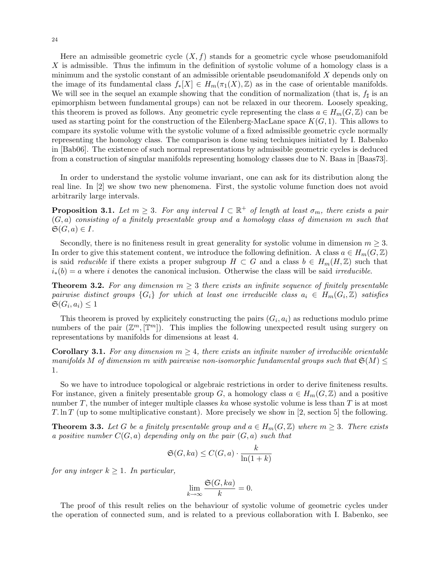Here an admissible geometric cycle  $(X, f)$  stands for a geometric cycle whose pseudomanifold X is admissible. Thus the infimum in the definition of systolic volume of a homology class is a minimum and the systolic constant of an admissible orientable pseudomanifold  $X$  depends only on the image of its fundamental class  $f_*[X] \in H_m(\pi_1(X), \mathbb{Z})$  as in the case of orientable manifolds. We will see in the sequel an example showing that the condition of normalization (that is,  $f_{\sharp}$  is an epimorphism between fundamental groups) can not be relaxed in our theorem. Loosely speaking, this theorem is proved as follows. Any geometric cycle representing the class  $a \in H_m(G, \mathbb{Z})$  can be used as starting point for the construction of the Eilenberg-MacLane space  $K(G, 1)$ . This allows to compare its systolic volume with the systolic volume of a fixed admissible geometric cycle normally representing the homology class. The comparison is done using techniques initiated by I. Babenko in [Bab06]. The existence of such normal representations by admissible geometric cycles is deduced from a construction of singular manifolds representing homology classes due to N. Baas in [Baas73].

In order to understand the systolic volume invariant, one can ask for its distribution along the real line. In [2] we show two new phenomena. First, the systolic volume function does not avoid arbitrarily large intervals.

**Proposition 3.1.** Let  $m \geq 3$ . For any interval  $I \subset \mathbb{R}^+$  of length at least  $\sigma_m$ , there exists a pair  $(G, a)$  consisting of a finitely presentable group and a homology class of dimension m such that  $\mathfrak{S}(G, a) \in I$ .

Secondly, there is no finiteness result in great generality for systolic volume in dimension  $m \geq 3$ . In order to give this statement content, we introduce the following definition. A class  $a \in H_m(G, \mathbb{Z})$ is said *reducible* if there exists a proper subgroup  $H \subset G$  and a class  $b \in H_m(H, \mathbb{Z})$  such that  $i_*(b) = a$  where i denotes the canonical inclusion. Otherwise the class will be said irreducible.

**Theorem 3.2.** For any dimension  $m \geq 3$  there exists an infinite sequence of finitely presentable pairwise distinct groups  $\{G_i\}$  for which at least one irreducible class  $a_i ~\in~ H_m(G_i, \mathbb{Z})$  satisfies  $\mathfrak{S}(G_i, a_i) \leq 1$ 

This theorem is proved by explicitely constructing the pairs  $(G_i, a_i)$  as reductions modulo prime numbers of the pair  $(\mathbb{Z}^m, [\mathbb{T}^m])$ . This implies the following unexpected result using surgery on representations by manifolds for dimensions at least 4.

**Corollary 3.1.** For any dimension  $m \geq 4$ , there exists an infinite number of irreducible orientable manifolds M of dimension m with pairewise non-isomorphic fundamental groups such that  $\mathfrak{S}(M) \leq$ 1.

So we have to introduce topological or algebraic restrictions in order to derive finiteness results. For instance, given a finitely presentable group G, a homology class  $a \in H_m(G, \mathbb{Z})$  and a positive number  $T$ , the number of integer multiple classes ka whose systolic volume is less than  $T$  is at most T. ln T (up to some multiplicative constant). More precisely we show in [2, section 5] the following.

**Theorem 3.3.** Let G be a finitely presentable group and  $a \in H_m(G, \mathbb{Z})$  where  $m \geq 3$ . There exists a positive number  $C(G, a)$  depending only on the pair  $(G, a)$  such that

$$
\mathfrak{S}(G,ka) \le C(G,a) \cdot \frac{k}{\ln(1+k)}
$$

for any integer  $k \geq 1$ . In particular,

$$
\lim_{k \to \infty} \frac{\mathfrak{S}(G, ka)}{k} = 0.
$$

The proof of this result relies on the behaviour of systolic volume of geometric cycles under the operation of connected sum, and is related to a previous collaboration with I. Babenko, see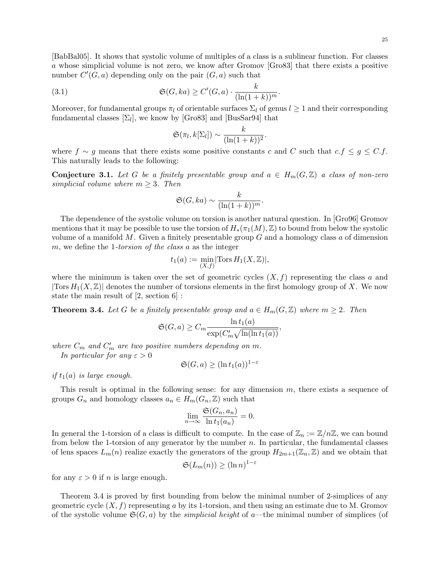[BabBal05]. It shows that systolic volume of multiples of a class is a sublinear function. For classes a whose simplicial volume is not zero, we know after Gromov [Gro83] that there exists a positive number  $C'(G, a)$  depending only on the pair  $(G, a)$  such that

(3.1) 
$$
\mathfrak{S}(G,ka) \ge C'(G,a) \cdot \frac{k}{(\ln(1+k))^m}
$$

Moreover, for fundamental groups  $\pi_l$  of orientable surfaces  $\Sigma_l$  of genus  $l \geq 1$  and their corresponding fundamental classes  $[\Sigma_l]$ , we know by [Gro83] and [BusSar94] that

.

$$
\mathfrak{S}(\pi_l, k[\Sigma_l]) \sim \frac{k}{(\ln(1+k))^2}.
$$

where  $f \sim g$  means that there exists some positive constants c and C such that  $c.f \leq g \leq C.f$ . This naturally leads to the following:

**Conjecture 3.1.** Let G be a finitely presentable group and  $a \in H_m(G, \mathbb{Z})$  a class of non-zero simplicial volume where  $m \geq 3$ . Then

$$
\mathfrak{S}(G,ka) \sim \frac{k}{(\ln(1+k))^m}.
$$

The dependence of the systolic volume on torsion is another natural question. In [Gro96] Gromov mentions that it may be possible to use the torsion of  $H_*(\pi_1(M), \mathbb{Z})$  to bound from below the systolic volume of a manifold  $M$ . Given a finitely presentable group  $G$  and a homology class  $a$  of dimension m, we define the 1-torsion of the class  $a$  as the integer

$$
t_1(a) := \min_{(X,f)}[\text{Tors } H_1(X,\mathbb{Z})],
$$

where the minimum is taken over the set of geometric cycles  $(X, f)$  representing the class a and  $|\text{Tors } H_1(X, \mathbb{Z})|$  denotes the number of torsions elements in the first homology group of X. We now state the main result of [2, section 6] :

**Theorem 3.4.** Let G be a finitely presentable group and  $a \in H_m(G, \mathbb{Z})$  where  $m \geq 2$ . Then

$$
\mathfrak{S}(G, a) \ge C_m \frac{\ln t_1(a)}{\exp(C'_m \sqrt{\ln(\ln t_1(a))}},
$$

where  $C_m$  and  $C'_m$  are two positive numbers depending on m. In particular for any  $\varepsilon > 0$ 

$$
\mathfrak{S}(G, a) \ge (\ln t_1(a))^{1-\varepsilon}
$$

if  $t_1(a)$  is large enough.

This result is optimal in the following sense: for any dimension m, there exists a sequence of groups  $G_n$  and homology classes  $a_n \in H_m(G_n, \mathbb{Z})$  such that

$$
\lim_{n \to \infty} \frac{\mathfrak{S}(G_n, a_n)}{\ln t_1(a_n)} = 0.
$$

In general the 1-torsion of a class is difficult to compute. In the case of  $\mathbb{Z}_n := \mathbb{Z}/n\mathbb{Z}$ , we can bound from below the 1-torsion of any generator by the number  $n$ . In particular, the fundamental classes of lens spaces  $L_m(n)$  realize exactly the generators of the group  $H_{2m+1}(\mathbb{Z}_n,\mathbb{Z})$  and we obtain that

$$
\mathfrak{S}(L_m(n)) \ge (\ln n)^{1-\varepsilon}
$$

for any  $\varepsilon > 0$  if *n* is large enough.

Theorem 3.4 is proved by first bounding from below the minimal number of 2-simplices of any geometric cycle  $(X, f)$  representing a by its 1-torsion, and then using an estimate due to M. Gromov of the systolic volume  $\mathfrak{S}(G, a)$  by the *simplicial height* of a—the minimal number of simplices (of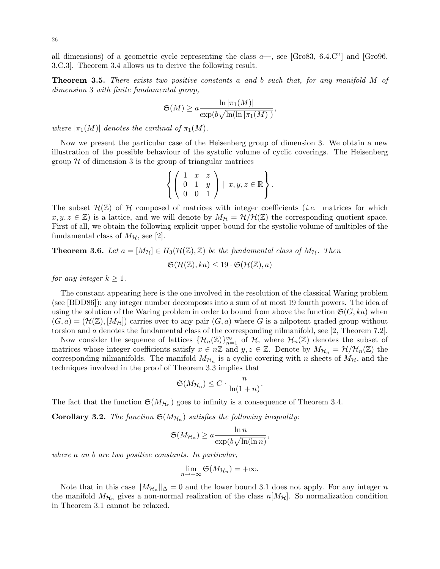all dimensions) of a geometric cycle representing the class  $a$ —, see [Gro83, 6.4.C"] and [Gro96, 3.C.3]. Theorem 3.4 allows us to derive the following result.

Theorem 3.5. There exists two positive constants a and b such that, for any manifold M of dimension 3 with finite fundamental group,

$$
\mathfrak{S}(M) \ge a \frac{\ln |\pi_1(M)|}{\exp(b\sqrt{\ln(\ln |\pi_1(M)|})},
$$

where  $|\pi_1(M)|$  denotes the cardinal of  $\pi_1(M)$ .

Now we present the particular case of the Heisenberg group of dimension 3. We obtain a new illustration of the possible behaviour of the systolic volume of cyclic coverings. The Heisenberg group  $H$  of dimension 3 is the group of triangular matrices

$$
\left\{ \left( \begin{array}{ccc} 1 & x & z \\ 0 & 1 & y \\ 0 & 0 & 1 \end{array} \right) \mid x, y, z \in \mathbb{R} \right\}.
$$

The subset  $\mathcal{H}(\mathbb{Z})$  of  $\mathcal{H}$  composed of matrices with integer coefficients (*i.e.* matrices for which  $x, y, z \in \mathbb{Z}$  is a lattice, and we will denote by  $M_{\mathcal{H}} = \mathcal{H}/\mathcal{H}(\mathbb{Z})$  the corresponding quotient space. First of all, we obtain the following explicit upper bound for the systolic volume of multiples of the fundamental class of  $M_{\mathcal{H}}$ , see [2].

**Theorem 3.6.** Let  $a = [M_{\mathcal{H}}] \in H_3(\mathcal{H}(\mathbb{Z}), \mathbb{Z})$  be the fundamental class of  $M_{\mathcal{H}}$ . Then

$$
\mathfrak{S}(\mathcal{H}(\mathbb{Z}), ka) \leq 19 \cdot \mathfrak{S}(\mathcal{H}(\mathbb{Z}), a)
$$

for any integer  $k \geq 1$ .

The constant appearing here is the one involved in the resolution of the classical Waring problem (see [BDD86]): any integer number decomposes into a sum of at most 19 fourth powers. The idea of using the solution of the Waring problem in order to bound from above the function  $\mathfrak{S}(G, ka)$  when  $(G, a) = (\mathcal{H}(\mathbb{Z}), [M_{\mathcal{H}}])$  carries over to any pair  $(G, a)$  where G is a nilpotent graded group without torsion and a denotes the fundamental class of the corresponding nilmanifold, see [2, Theorem 7.2].

Now consider the sequence of lattices  $\{\mathcal{H}_n(\mathbb{Z})\}_{n=1}^{\infty}$  of  $\mathcal{H}$ , where  $\mathcal{H}_n(\mathbb{Z})$  denotes the subset of matrices whose integer coefficients satisfy  $x \in n\mathbb{Z}$  and  $y, z \in \mathbb{Z}$ . Denote by  $M_{\mathcal{H}_n} = \mathcal{H}/\mathcal{H}_n(\mathbb{Z})$  the corresponding nilmanifolds. The manifold  $M_{\mathcal{H}_n}$  is a cyclic covering with n sheets of  $M_{\mathcal{H}}$ , and the techniques involved in the proof of Theorem 3.3 implies that

$$
\mathfrak{S}(M_{\mathcal{H}_n}) \leq C \cdot \frac{n}{\ln(1+n)}.
$$

The fact that the function  $\mathfrak{S}(M_{\mathcal{H}_n})$  goes to infinity is a consequence of Theorem 3.4.

**Corollary 3.2.** The function  $\mathfrak{S}(M_{\mathcal{H}_n})$  satisfies the following inequality:

$$
\mathfrak{S}(M_{\mathcal{H}_n}) \ge a \frac{\ln n}{\exp(b\sqrt{\ln(\ln n)}}.
$$

where a an b are two positive constants. In particular,

$$
\lim_{n\to+\infty}\mathfrak{S}(M_{\mathcal{H}_n})=+\infty.
$$

Note that in this case  $||M_{\mathcal{H}_n}||_{\Delta}=0$  and the lower bound 3.1 does not apply. For any integer n the manifold  $M_{\mathcal{H}_n}$  gives a non-normal realization of the class  $n[M_{\mathcal{H}}]$ . So normalization condition in Theorem 3.1 cannot be relaxed.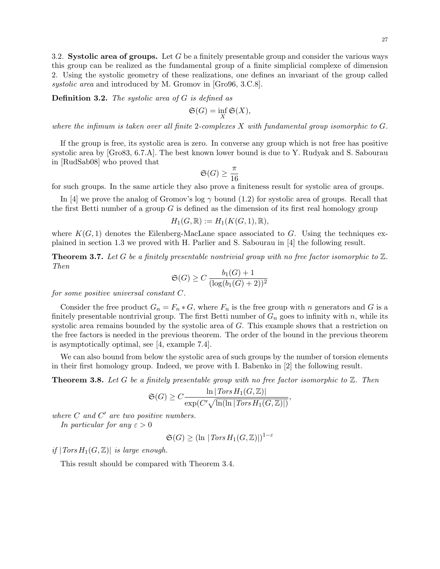3.2. Systolic area of groups. Let G be a finitely presentable group and consider the various ways this group can be realized as the fundamental group of a finite simplicial complexe of dimension 2. Using the systolic geometry of these realizations, one defines an invariant of the group called systolic area and introduced by M. Gromov in [Gro96, 3.C.8].

**Definition 3.2.** The systolic area of  $G$  is defined as

$$
\mathfrak{S}(G)=\inf_X \mathfrak{S}(X),
$$

where the infimum is taken over all finite 2-complexes  $X$  with fundamental group isomorphic to  $G$ .

If the group is free, its systolic area is zero. In converse any group which is not free has positive systolic area by [Gro83, 6.7.A]. The best known lower bound is due to Y. Rudyak and S. Sabourau in [RudSab08] who proved that

$$
\mathfrak{S}(G) \ge \frac{\pi}{16}
$$

for such groups. In the same article they also prove a finiteness result for systolic area of groups.

In [4] we prove the analog of Gromov's log  $\gamma$  bound (1.2) for systolic area of groups. Recall that the first Betti number of a group  $G$  is defined as the dimension of its first real homology group

$$
H_1(G, \mathbb{R}) := H_1(K(G, 1), \mathbb{R}),
$$

where  $K(G, 1)$  denotes the Eilenberg-MacLane space associated to G. Using the techniques explained in section 1.3 we proved with H. Parlier and S. Sabourau in [4] the following result.

**Theorem 3.7.** Let G be a finitely presentable nontrivial group with no free factor isomorphic to  $\mathbb{Z}$ . Then

$$
\mathfrak{S}(G) \ge C \frac{b_1(G) + 1}{(\log(b_1(G) + 2))^2}
$$

for some positive universal constant C.

Consider the free product  $G_n = F_n * G$ , where  $F_n$  is the free group with n generators and G is a finitely presentable nontrivial group. The first Betti number of  $G_n$  goes to infinity with n, while its systolic area remains bounded by the systolic area of G. This example shows that a restriction on the free factors is needed in the previous theorem. The order of the bound in the previous theorem is asymptotically optimal, see [4, example 7.4].

We can also bound from below the systolic area of such groups by the number of torsion elements in their first homology group. Indeed, we prove with I. Babenko in [2] the following result.

**Theorem 3.8.** Let G be a finitely presentable group with no free factor isomorphic to  $\mathbb{Z}$ . Then

$$
\mathfrak{S}(G) \ge C \frac{\ln |\text{Tors } H_1(G, \mathbb{Z})|}{\exp(C' \sqrt{\ln(\ln |\text{Tors } H_1(G, \mathbb{Z})|})},
$$

where  $C$  and  $C'$  are two positive numbers.

In particular for any  $\varepsilon > 0$ 

 $\mathfrak{S}(G) \geq (\ln | Tors H_1(G, \mathbb{Z})|)^{1-\varepsilon}$ 

if  $|Tors H_1(G, \mathbb{Z})|$  is large enough.

This result should be compared with Theorem 3.4.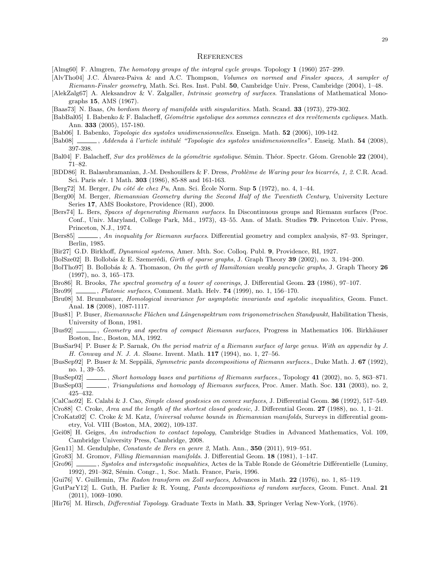#### **REFERENCES**

[Almg60] F. Almgren, The homotopy groups of the integral cycle groups. Topology 1 (1960) 257–299.

- [AlvTho04] J.C. Alvarez-Paiva & and A.C. Thompson, ´ Volumes on normed and Finsler spaces, A sampler of Riemann-Finsler geometry, Math. Sci. Res. Inst. Publ. 50, Cambridge Univ. Press, Cambridge (2004), 1–48.
- [AlekZalg67] A. Aleksandrov & V. Zalgaller, Intrinsic geometry of surfaces. Translations of Mathematical Monographs 15, AMS (1967).
- [Baas73] N. Baas, On bordism theory of manifolds with singularities. Math. Scand. 33 (1973), 279-302.
- [BabBal05] I. Babenko & F. Balacheff, Géométrie systolique des sommes connexes et des revêtements cycliques. Math. Ann. 333 (2005), 157-180.
- [Bab06] I. Babenko, Topologie des systoles unidimensionnelles. Enseign. Math. 52 (2006), 109-142.
- [Bab08] , Addenda à l'article intitulé "Topologie des systoles unidimensionnelles". Enseig. Math. 54 (2008), 397-398.
- [Bal04] F. Balacheff, Sur des problèmes de la géométrie systolique. Sémin. Théor. Spectr. Géom. Grenoble 22 (2004), 71–82.
- [BDD86] R. Balasubramanian, J.-M. Deshouillers & F. Dress, Problème de Waring pour les bicarrés, 1, 2. C.R. Acad. Sci. Paris sér. 1 Math. **303** (1986), 85-88 and 161-163.
- [Berg72] M. Berger, Du côté de chez Pu, Ann. Sci. École Norm. Sup  $5$  (1972), no. 4, 1–44.
- [Berg00] M. Berger, Riemannian Geometry during the Second Half of the Twentieth Century, University Lecture Series 17, AMS Bookstore, Providence (RI), 2000.
- [Bers74] L. Bers, Spaces of degenerating Riemann surfaces. In Discontinuous groups and Riemann surfaces (Proc. Conf., Univ. Maryland, College Park, Md., 1973), 43–55. Ann. of Math. Studies 79. Princeton Univ. Press, Princeton, N.J., 1974.
- [Bers85] , An inequality for Riemann surfaces. Differential geometry and complex analysis, 87–93. Springer, Berlin, 1985.
- [Bir27] G.D. Birkhoff, Dynamical systems, Amer. Mth. Soc. Colloq. Publ. 9, Providence, RI, 1927.
- [BolSze02] B. Bollobás & E. Szemerédi, *Girth of sparse graphs*, J. Graph Theory 39 (2002), no. 3, 194–200.
- [BolTho97] B. Bollobás & A. Thomason, On the girth of Hamiltonian weakly pancyclic graphs, J. Graph Theory 26 (1997), no. 3, 165–173.
- [Bro86] R. Brooks, The spectral geometry of a tower of coverings, J. Differential Geom. 23 (1986), 97–107.
- [Bro99] , Platonic surfaces, Comment. Math. Helv. 74 (1999), no. 1, 156-170.
- [Bru08] M. Brunnbauer, Homological invariance for asymptotic invariants and systolic inequalities, Geom. Funct. Anal. 18 (2008), 1087-1117.
- [Bus81] P. Buser, Riemannsche Flächen und Längenspektrum vom trigonometrischen Standpunkt, Habilitation Thesis, University of Bonn, 1981.
- [Bus92] , Geometry and spectra of compact Riemann surfaces, Progress in Mathematics 106. Birkhäuser Boston, Inc., Boston, MA, 1992.
- [BusSar94] P. Buser & P. Sarnak, On the period matrix of a Riemann surface of large genus. With an appendix by J. H. Conway and N. J. A. Sloane. Invent. Math. 117 (1994), no. 1, 27–56.
- [BusSep92] P. Buser & M. Seppälä, *Symmetric pants decompositions of Riemann surfaces.*, Duke Math. J. 67 (1992), no. 1, 39–55.
- [BusSep02] , Short homology bases and partitions of Riemann surfaces., Topology 41 (2002), no. 5, 863–871.
- [BusSep03] , Triangulations and homology of Riemann surfaces, Proc. Amer. Math. Soc. 131 (2003), no. 2, 425–432.
- [CalCao92] E. Calabi & J. Cao, Simple closed geodesics on convex surfaces, J. Differential Geom. 36 (1992), 517-549.
- [Cro88] C. Croke, Area and the length of the shortest closed geodesic, J. Differential Geom.  $27$  (1988), no. 1, 1–21.
- [CroKatz02] C. Croke & M. Katz, Universal volume bounds in Riemannian manifolds, Surveys in differential geometry, Vol. VIII (Boston, MA, 2002), 109-137.
- [Gei08] H. Geiges, An introduction to contact topology, Cambridge Studies in Advanced Mathematics, Vol. 109, Cambridge University Press, Cambridge, 2008.
- [Gen11] M. Gendulphe, Constante de Bers en genre 2, Math. Ann., 350 (2011), 919–951.
- [Gro83] M. Gromov, Filling Riemannian manifolds. J. Differential Geom. 18 (1981), 1–147.
- [Gro96] , Systoles and intersystolic inequalities, Actes de la Table Ronde de Géométrie Différentielle (Luminy, 1992), 291–362, Sémin. Congr., 1, Soc. Math. France, Paris, 1996.
- [Gui76] V. Guillemin, The Radon transform on Zoll surfaces, Advances in Math. 22 (1976), no. 1, 85–119.
- [GutParY12] L. Guth, H. Parlier & R. Young, Pants decompositions of random surfaces, Geom. Funct. Anal. 21  $(2011), 1069-1090.$
- [Hir76] M. Hirsch, Differential Topology. Graduate Texts in Math. 33, Springer Verlag New-York, (1976).